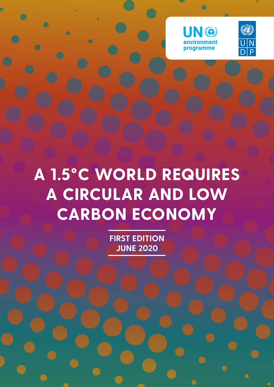



# **A 1.5°C WORLD REQUIRES A CIRCULAR AND LOW CARBON ECONOMY**

**FIRST EDITION JUNE 2020**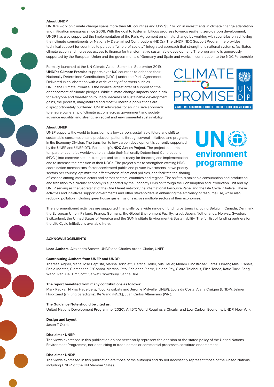#### **About UNDP**

UNDP's work on climate change spans more than 140 countries and US\$ \$3.7 billion in investments in climate change adaptation and mitigation measures since 2008. With the goal to foster ambitious progress towards resilient, zero-carbon development, UNDP has also supported the implementation of the Paris Agreement on climate change by working with countries on achieving their climate commitments or Nationally Determined Contributions (NDCs). The UNDP NDC Support Programme provides technical support for countries to pursue a "whole-of-society", integrated approach that strengthens national systems, facilitates climate action and increases access to finance for transformative sustainable development. The programme is generously supported by the European Union and the governments of Germany and Spain and works in contribution to the NDC Partnership.

Formally launched at the UN Climate Action Summit in September 2019, **UNDP's Climate Promise** supports over 100 countries to enhance their Nationally Determined Contributions (NDCs) under the Paris Agreement. Delivered in collaboration with a wide variety of partners such as UNEP, the Climate Promise is the world's largest offer of support for the enhancement of climate pledges. While climate change impacts pose a risk for everyone and threaten to roll back decades of sustainable development gains, the poorest, marginalized and most vulnerable populations are disproportionately burdened. UNDP advocates for an inclusive approach to ensure ownership of climate actions across government and society, advance equality, and strengthen social and environmental sustainability.



#### **About UNEP**

UNEP supports the world to transition to a low-carbon, sustainable future and shift to sustainable consumption and production patterns through several initiatives and programs in the Economy Division. The transition to low carbon development is currently supported by the UNEP and UNEP DTU Partnership's **NDC Action Project**. The project supports ten partner countries worldwide to translate their Nationally Determined Contributions (NDCs) into concrete sector strategies and actions ready for financing and implementation, and to increase the ambition of their NDCs. The project aims to strengthen existing NDC coordination mechanisms, foster accelerated public and private investments in two priority sectors per country, optimize the effectiveness of national policies, and facilitate the sharing



of lessons among various actors and across sectors, countries and regions. The shift to sustainable consumption and production and transition to a circular economy is supported by the Economy Division through the Consumption and Production Unit and by UNEP serving as the Secretariat of the One Planet network, the International Resource Panel and the Life Cycle Initiative. These activities and initiatives support governments and other stakeholders in enhancing the efficiency of resource use, while also reducing pollution including greenhouse gas emissions across multiple sectors of their economies.

The aforementioned activities are supported financially by a wide range of funding partners including Belgium, Canada, Denmark, the European Union, Finland, France, Germany, the Global Environment Facility, Israel, Japan, Netherlands, Norway, Sweden, Switzerland, the United States of America and the SUN Institute Environment & Sustainability. The full list of funding partners for the Life Cycle Initiative is available **[here](https://www.lifecycleinitiative.org/about/partners-and-sponsors/)**.

#### **ACKNOWLEDGEMENTS**

**Lead Authors:** Alexandra Soezer, UNDP and Charles Arden-Clarke, UNEP

#### **Contributing Authors from UNEP and UNDP:**

Theresa Aigner, Maria Jose Baptista, Marina Bortoletti, Bettina Heller, Nils Heuer, Miriam Hinostroza-Suarez, Llorenç Mila i Canals, Pablo Montes, Clementine O'Connor, Martina Otto, Fabienne Pierre, Helena Rey, Claire Thiebault, Elisa Tonda, Katie Tuck, Feng Wang, Ran Xie, Tim Scott, Sarwat Chowdhury, Sanna Due.

#### **The report benefited from many contributions as follows:**

Mark Radka, Niklas Hagelberg, Toyo Kawabata and Jerome Malvelle (UNEP), Louis da Costa, Alana Craigen (UNDP), Jelmer Hoogzaad (shifting paradigms), Ke Wang (PACE), Juan Carlos Altamirano (WRI).

#### **The Guidance Note should be cited as:**

United Nations Development Programme (2020). A 1.5°C World Requires a Circular and Low Carbon Economy. UNDP, New York

**Design and layout:** 

Jason T Quirk

#### **Disclaimer UNEP**

The views expressed in this publication do not necessarily represent the decision or the stated policy of the United Nations Environment Programme, nor does citing of trade names or commercial processes constitute endorsement.

#### **Disclaimer UNDP**

The views expressed in this publication are those of the author(s) and do not necessarily represent those of the United Nations, including UNDP, or the UN Member States.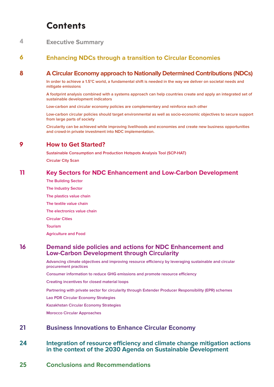# **Contents**

#### **[Executive Summary](#page-3-0) 4**

#### **[Enhancing NDCs through a transition to Circular Economies](#page-5-0) 6**

#### **[A Circular Economy approach to Nationally Determined Contributions \(NDCs\)](#page-7-0) 8**

**[In order to achieve a 1.5°C world, a fundamental shift is needed in the way we deliver on societal needs and](#page-7-0)  [mitigate emissions](#page-7-0)**

**[A footprint analysis combined with a systems approach can help countries create and apply an integrated set of](#page-7-0)  [sustainable development indicators](#page-7-0)** 

**[Low-carbon and circular economy policies are complementary and reinforce each other](#page-7-0)**

**[Low-carbon circular policies should target environmental as well as socio-economic objectives to secure support](#page-8-0)  [from large parts of society](#page-8-0)**

**[Circularity can be achieved while improving livelihoods and economies and create new business opportunities](#page-8-0)  [and crowd-in private investment into NDC implementation.](#page-8-0)** 

#### **[How to Get Started?](#page-8-0)  9**

**[Sustainable Consumption and Production Hotspots Analysis Tool \(SCP-HAT\)](#page-8-0)**

**[Circular City Scan](#page-9-0)**

#### **[Key Sectors for NDC Enhancement and Low-Carbon Development](#page-10-0)  11**

**[The Building Sector](#page-10-0)  [The Industry Sector](#page-10-0) [The plastics value chain](#page-11-0) [The textile value chain](#page-12-0) [The electronics value chain](#page-12-0) [Circular Cities](#page-13-0) [Tourism](#page-13-0) [Agriculture and Food](#page-14-0)**

#### **[Demand side policies and actions for NDC Enhancement and](#page-15-0)  [Low-Carbon Development through Circularity](#page-15-0) 16**

**[Advancing climate objectives and improving resource efficiency by leveraging sustainable and circular](#page-15-0)  [procurement practices](#page-15-0)**

**[Consumer information to reduce GHG emissions and promote resource efficiency](#page-16-0)**

**[Creating incentives for closed material loops](#page-17-0)**

**[Partnering with private sector for circularity through Extender Producer Responsibility \(EPR\) schemes](#page-17-0)**

**[Lao PDR Circular Economy Strategies](#page-18-0)**

**[Kazakhstan Circular Economy Strategies](#page-19-0)**

**[Morocco Circular Approaches](#page-19-0)**

#### **[Business Innovations to Enhance Circular Economy](#page-20-0)  21**

#### **[Integration of resource efficiency and climate change mitigation actions](#page-23-0)  [in the context of the 2030 Agenda on Sustainable Development](#page-23-0) 24**

**[Conclusions and Recommendations](#page-24-0) 25**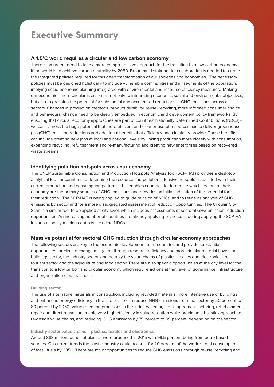# <span id="page-3-0"></span>**Executive Summary**

# **A 1.5°C world requires a circular and low carbon economy**

There is an urgent need to take a more comprehensive approach for the transition to a low carbon economy if the world is to achieve carbon neutrality by 2050. Broad multi-stakeholder collaboration is needed to create the integrated policies required for this deep transformation of our societies and economies. The necessary policies must be designed holistically to include vulnerable communities and all segments of the population, implying socio-economic planning integrated with environmental and resource efficiency measures. Making our economies more circular is essential, not only to integrating economic, social and environmental objectives, but also to grasping the potential for substantial and accelerated reductions in GHG emissions across all sectors. Changes in production methods, product durability, reuse, recycling, more informed consumer choice and behavioural change need to be deeply embedded in economic and development policy frameworks. By ensuring that circular economy approaches are part of countries' Nationally Determined Contributions (NDCs) we can harness the huge potential that more efficient and cleaner use of resources has to deliver greenhouse gas (GHG) emission reductions and additional benefits that efficiency and circularity provide. These benefits can include creating new jobs at local and national levels by linking production more closely with consumption, expanding recycling, refurbishment and re-manufacturing and creating new enterprises based on recovered waste streams.

### **Identifying pollution hotspots across our economy**

The UNEP Sustainable Consumption and Production Hotspots Analysis Tool (SCP-HAT) provides a desk-top analytical tool for countries to determine the resource and pollution intensive hotspots associated with their current production and consumption patterns. This enables countries to determine which sectors of their economy are the primary sources of GHG emissions and provides an initial indication of the potential for their reduction. The SCP-HAT is being applied to guide revision of NDCs, and to refine its analysis of GHG emissions by sector and for a more disaggregated assessment of reduction opportunities. The Circular City Scan is a similar tool to be applied at city level, which includes assessments of sectoral GHG emission reduction opportunities. An increasing number of countries are already applying or are considering applying the SCP-HAT in various policy making contexts including NDCs.

### **Massive potential for sectoral GHG reduction through circular economy approaches**

The following sectors are key to the economic development of all countries and provide substantial opportunities for climate change mitigation through resource efficiency and more circular material flows: the buildings sector, the industry sector, and notably the value chains of plastics, textiles and electronics, the tourism sector and the agriculture and food sector. There are also specific opportunities at the city level for the transition to a low carbon and circular economy which require actions at that level of governance, infrastructure and organization of value chains.

#### **Building sector**

The use of alternative materials in construction, including recycled materials, more intensive use of buildings and enhanced energy efficiency in the use phase can reduce GHG emissions from the sector by 50 percent to 80 percent by 2050. Value retention processes in the industry sector, including remanufacturing, refurbishment, repair and direct reuse can enable very high efficiency in value retention while providing a holistic approach to re-design value chains, and reducing GHG emissions by 79 percent to 99 percent, depending on the sector.

#### **Industry sector value chains – plastics, textiles and electronics**

Around 388 million tonnes of plastics were produced in 2015 with 99.5 percent being from petro-based sources. On current trends the plastic industry could account for 20 percent of the world's total consumption of fossil fuels by 2050. There are major opportunities to reduce GHG emissions, through re-use, recycling and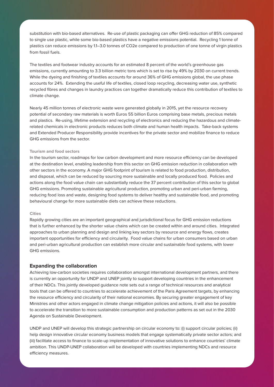substitution with bio-based alternatives. Re-use of plastic packaging can offer GHG reduction of 85% compared to single use plastic, while some bio-based plastics have a negative emissions potential. Recycling 1 tonne of plastics can reduce emissions by 1.1–3.0 tonnes of CO2e compared to production of one tonne of virgin plastics from fossil fuels.

The textiles and footwear industry accounts for an estimated 8 percent of the world's greenhouse gas emissions, currently amounting to 3.3 billion metric tons which is set to rise by 49% by 2030 on current trends. While the dyeing and finishing of textiles accounts for around 36% of GHG emissions global, the use phase accounts for 24%. Extending the useful life of textiles, closed loop recycling, decreasing water use, synthetic recycled fibres and changes in laundry practices can together dramatically reduce this contribution of textiles to climate change.

Nearly 45 million tonnes of electronic waste were generated globally in 2015, yet the resource recovery potential of secondary raw materials is worth Euros 55 billion Euros comprising base metals, precious metals and plastics. Re-using, lifetime extension and recycling of electronics and reducing the hazardous and climaterelated chemicals in electronic products reduces both climate and human health impacts. Take-back systems and Extended Producer Responsibility provide incentives for the private sector and mobilize finance to reduce GHG emissions from the sector.

### **Tourism and food sectors**

In the tourism sector, roadmaps for low carbon development and more resource efficiency can be developed at the destination level, enabling leadership from this sector on GHG emission reduction in collaboration with other sectors in the economy. A major GHG footprint of tourism is related to food production, distribution, and disposal, which can be reduced by sourcing more sustainable and locally produced food. Policies and actions along the food value chain can substantially reduce the 37 percent contribution of this sector to global GHG emissions. Promoting sustainable agricultural production, promoting urban and peri-urban farming, reducing food loss and waste, designing food systems to deliver healthy and sustainable food, and promoting behavioural change for more sustainable diets can achieve these reductions.

#### **Cities**

Rapidly growing cities are an important geographical and jurisdictional focus for GHG emission reductions that is further enhanced by the shorter value chains which can be created within and around cities. Integrated approaches to urban planning and design and linking key sectors by resource and energy flows, creates important opportunities for efficiency and circularity. Food value chains for urban consumers based on urban and peri-urban agricultural production can establish more circular and sustainable food systems, with lower GHG emissions.

#### **Expanding the collaboration**

Achieving low-carbon societies requires collaboration amongst international development partners, and there is currently an opportunity for UNDP and UNEP jointly to support developing countries in the enhancement of their NDCs. This jointly developed guidance note sets out a range of technical resources and analytical tools that can be offered to countries to accelerate achievement of the Paris Agreement targets, by enhancing the resource efficiency and circularity of their national economies. By securing greater engagement of key Ministries and other actors engaged in climate change mitigation policies and actions, it will also be possible to accelerate the transition to more sustainable consumption and production patterns as set out in the 2030 Agenda on Sustainable Development.

UNDP and UNEP will develop this strategic partnership on circular economy to: (i) support circular policies; (ii) help design innovative circular economy business models that engage systematically private sector actors; and (iii) facilitate access to finance to scale-up implementation of innovative solutions to enhance countries' climate ambition. This UNDP-UNEP collaboration will be developed with countries implementing NDCs and resource efficiency measures.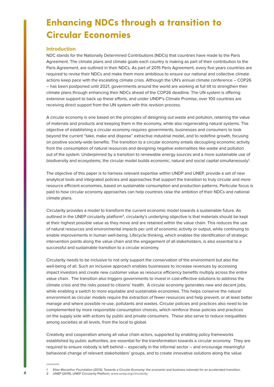# <span id="page-5-0"></span>**Enhancing NDCs through a transition to Circular Economies**

#### **Introduction**

NDC stands for the Nationally Determined Contributions (NDCs) that countries have made to the Paris Agreement. The climate plans and climate goals each country is making as part of their contribution to the Paris Agreement, are outlined in their NDCs. As part of 2015 Paris Agreement, every five years countries are required to revise their NDCs and make them more ambitious to ensure our national and collective climate actions keep pace with the escalating climate crisis. Although the UN's annual climate conference – COP26 – has been postponed until 2021, governments around the world are working at full tilt to strengthen their climate plans through enhancing their NDCs ahead of the COP26 deadline. The UN system is offering extensive support to back up these efforts, and under UNDP's Climate Promise, over 100 countries are receiving direct support from the UN system with this revision process.

A circular economy is one based on the principles of designing out waste and pollution, retaining the value of materials and products and keeping them in the economy, while also regenerating natural systems. The objective of establishing a circular economy requires governments, businesses and consumers to look beyond the current "take, make and dispose" extractive industrial model, and to redefine growth, focusing on positive society-wide benefits. The transition to a circular economy entails decoupling economic activity from the consumption of natural resources and designing negative externalities like waste and pollution out of the system. Underpinned by a transition to renewable energy sources and a more sustainable use of biodiversity and ecosystems, the circular model builds economic, natural and social capital simultaneously**<sup>1</sup>** .

The objective of this paper is to harness relevant expertise within UNDP and UNEP, provide a set of new analytical tools and integrated policies and approaches that support the transition to truly circular and more resource efficient economies, based on sustainable consumption and production patterns. Particular focus is paid to how circular economy approaches can help countries raise the ambition of their NDCs and national climate plans.

Circularity provides a model to transform the current economic model towards a sustainable future. As outlined in the UNEP circularity platform**<sup>2</sup>**, circularity's underlying objective is that materials should be kept at their highest possible value as they move and are retained within the value chain. This reduces the use of natural resources and environmental impacts per unit of economic activity or output, while continuing to enable improvements in human well-being. Lifecycle thinking, which enables the identification of strategic intervention points along the value chain and the engagement of all stakeholders, is also essential to a successful and sustainable transition to a circular economy.

Circularity needs to be inclusive to not only support the conservation of the environment but also the well-being of all. Such an inclusive approach enables businesses to increase revenues by accessing impact investors and create new customer value as resource efficiency benefits multiply across the entire value chain. The transition also triggers governments to invest in cost-effective solutions to address the climate crisis and the risks posed to citizens' health. A circular economy generates new and decent jobs, while enabling a switch to more equitable and sustainable economies. This helps conserve the natural environment as circular models require the extraction of fewer resources and help prevent, or at least better manage and where possible re-use, pollutants and wastes. Circular policies and practices also need to be complemented by more responsible consumption choices, which reinforce those policies and practices on the supply side with actions by public and private consumers. These also serve to reduce inequalities among societies at all levels, from the local to global.

Creativity and cooperation among all value chain actors, supported by enabling policy frameworks established by public authorities, are essential for the transformation towards a circular economy. They are required to ensure nobody is left behind – especially in the informal sector – and encourage meaningful behavioral change of relevant stakeholders' groups, and to create innovative solutions along the value

**<sup>1</sup> Ellen Macarthur Foundation (2013), Towards a Circular Economy: the economic and business rationale for an accelerated transition. 2 UNEP (2019), UNEP Circularity Platform, [www.unep.org/circularity](https://www.unenvironment.org/circularity)**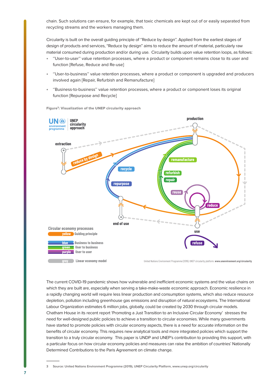chain. Such solutions can ensure, for example, that toxic chemicals are kept out of or easily separated from recycling streams and the workers managing them.

Circularity is built on the overall guiding principle of ''Reduce by design''. Applied from the earliest stages of design of products and services, "Reduce by design" aims to reduce the amount of material, particularly raw material consumed during production and/or during use. Circularity builds upon value retention loops, as follows:

- ''User-to-user'' value retention processes, where a product or component remains close to its user and function [Refuse, Reduce and Re-use]
- ''User-to-business'' value retention processes, where a product or component is upgraded and producers involved again [Repair, Refurbish and Remanufacture]
- ''Business-to-business'' value retention processes, where a product or component loses its original function [Repurpose and Recycle]



Figure**<sup>3</sup>**: Visualization of the UNEP circularity approach

The current COVID-19 pandemic shows how vulnerable and inefficient economic systems and the value chains on which they are built are, especially when serving a take-make-waste economic approach. Economic resilience in a rapidly changing world will require less linear production and consumption systems, which also reduce resource depletion, pollution including greenhouse gas emissions and disruption of natural ecosystems. The International Labour Organization estimates 6 million jobs, globally, could be created by 2030 through circular models. Chatham House in its recent report 'Promoting a Just Transition to an Inclusive Circular Economy' stresses the need for well-designed public policies to achieve a transition to circular economies. While many governments have started to promote policies with circular economy aspects, there is a need for accurate information on the benefits of circular economy. This requires new analytical tools and more integrated policies which support the transition to a truly circular economy. This paper is UNDP and UNEP's contribution to providing this support, with a particular focus on how circular economy policies and measures can raise the ambition of countries' Nationally Determined Contributions to the Paris Agreement on climate change.

**<sup>3</sup> Source: United Nations Environment Programme (2019), UNEP Circularity Platform, www.unep.org/circularity**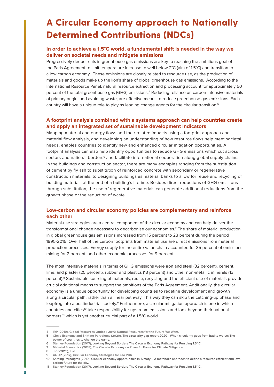# <span id="page-7-0"></span>**A Circular Economy approach to Nationally Determined Contributions (NDCs)**

# **In order to achieve a 1.5°C world, a fundamental shift is needed in the way we deliver on societal needs and mitigate emissions**

Progressively deeper cuts in greenhouse gas emissions are key to reaching the ambitious goal of the Paris Agreement to limit temperature increase to well below 2°C (aim of 1.5°C) and transition to a low carbon economy. These emissions are closely related to resource use, as the production of materials and goods make up the lion's share of global greenhouse gas emissions. According to the International Resource Panel, natural resource extraction and processing account for approximately 50 percent of the total greenhouse gas (GHG) emissions.**<sup>4</sup>** Reducing reliance on carbon-intensive materials of primary origin, and avoiding waste, are effective means to reduce greenhouse gas emissions. Each country will have a unique role to play as leading change agents for the circular transition.**<sup>5</sup>**

# **A footprint analysis combined with a systems approach can help countries create and apply an integrated set of sustainable development indicators**

Mapping material and energy flows and their related impacts using a footprint approach and material flow analysis, and developing an understanding of how resource flows help meet societal needs, enables countries to identify new and enhanced circular mitigation opportunities. A footprint analysis can also help identify opportunities to reduce GHG emissions which cut across sectors and national borders**<sup>6</sup>** and facilitate international cooperation along global supply chains. In the buildings and construction sector, there are many examples ranging from the substitution of cement by fly ash to substitution of reinforced concrete with secondary or regenerative construction materials, to designing buildings as material banks to allow for reuse and recycling of building materials at the end of a building's lifetime. Besides direct reductions of GHG emissions through substitution, the use of regenerative materials can generate additional reductions from the growth phase or the reduction of waste.

# **Low-carbon and circular economy policies are complementary and reinforce each other**

Material-use strategies are a central component of the circular economy and can help deliver the transformational change necessary to decarbonise our economies.**<sup>7</sup>** The share of material production in global greenhouse gas emissions increased from 15 percent to 23 percent during the period 1995-2015. Over half of the carbon footprints from material use are direct emissions from material production processes. Energy supply for the entire value chain accounted for 35 percent of emissions, mining for 2 percent, and other economic processes for 9 percent.

The most intensive materials in terms of GHG emissions were iron and steel (32 percent), cement, lime, and plaster (25 percent), rubber and plastics (13 percent) and other non-metallic minerals (13 percent).**<sup>8</sup>** Sustainable sourcing of materials, reuse, recycling and the efficient use of materials provide crucial additional means to support the ambitions of the Paris Agreement. Additionally, the circular economy is a unique opportunity for developing countries to redefine development and growth along a circular path, rather than a linear pathway. This way they can skip the catching-up phase and leapfrog into a postindustrial society.**<sup>9</sup>** Furthermore, a circular mitigation approach is one in which countries and cities**<sup>10</sup>** take responsibility for upstream emissions and look beyond their national borders,**<sup>11</sup>** which is yet another crucial part of a 1.5°C world.

**7 [Material Economics \(2018\)](https://materialeconomics.com/publications/the-circular-economy), The Circular Economy - a Powerful Force for Climate Mitigation.**

**<sup>4</sup> [IRP \(2019\). Global Resources Outlook 2019: Natural Resources for the Future We Want.](https://www.shiftingparadigms.nl/projects/3rd-global-circularity-gap-report/)**

**<sup>5</sup> [Circle Economy and Shifting Paradigms \(2020\)](https://www.shiftingparadigms.nl/projects/3rd-global-circularity-gap-report/), The circularity gap report 2020 - When circularity goes from bad to worse: The power of countries to change the game.**

**<sup>6</sup> [Stanley Foundation \(2017\)](https://www.shiftingparadigms.nl/projects/looking-beyond-borders-the-circular-economy-pathway-for-pursuing-1-5c/), Looking Beyond Borders The Circular Economy Pathway for Pursuing 1.5° C.**

**<sup>8</sup> IRP (2019), Ibid.**

**<sup>9</sup> UNDP (2017), [Circular Economy Strategies for Lao PDR](https://www.undp.org/content/undp/en/home/librarypage/climate-and-disaster-resilience-/circular-economy-strategies-for-lao-pdr.html)**

**<sup>10</sup> Shifting Paradigms (2019), Circular economy opportunities in Almaty – A metabolic approach to define a resource efficient and lowcarbon future for the city.**

**<sup>11</sup> [Stanley Foundation \(2017\)](https://www.shiftingparadigms.nl/projects/looking-beyond-borders-the-circular-economy-pathway-for-pursuing-1-5c/), Looking Beyond Borders The Circular Economy Pathway for Pursuing 1.5° C.**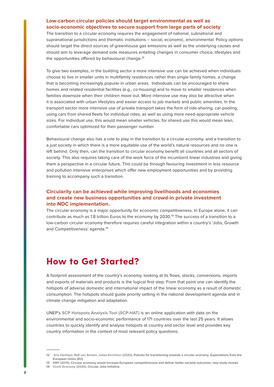# <span id="page-8-0"></span>**Low-carbon circular policies should target environmental as well as socio-economic objectives to secure support from large parts of society**

The transition to a circular economy requires the engagement of national, subnational and supranational jurisdictions and thematic institutions – social, economic, environmental. Policy options should target the direct sources of greenhouse gas emissions as well as the underlying causes and should aim to leverage demand side measures entailing changes in consumer choice, lifestyles and the opportunities offered by behavioural change.**<sup>12</sup>**

To give two examples, in the building sector a more intensive use can be achieved when individuals choose to live in smaller units in multifamily residences rather than single family homes, a change that is becoming increasingly popular in urban areas. Individuals can be encouraged to share homes and related residential facilities (e.g., co-housing) and to move to smaller residences when families downsize when their children move out. More intensive use may also be attractive when it is associated with urban lifestyles and easier access to job markets and public amenities. In the transport sector more intensive use of private transport takes the form of ride-sharing, car-pooling, using cars from shared fleets for individual rides, as well as using more need-appropriate vehicle sizes. For individual use, this would mean smaller vehicles, for shared use this would mean lean, comfortable cars optimized for their passenger number.

Behavioural change also has a role to play in the transition to a circular economy, and a transition to a just society in which there is a more equitable use of the world's natural resources and no one is left behind. Only then, can the transition to circular economy benefit all countries and all sectors of society. This also requires taking care of the work force of the incumbent linear industries and giving them a perspective in a circular future. This could be through favouring investment in less resource and pollution intensive enterprises which offer new employment opportunities and by providing training to accompany such a transition.

# **Circularity can be achieved while improving livelihoods and economies and create new business opportunities and crowd-in private investment into NDC implementation.**

The circular economy is a major opportunity for economic competitiveness. In Europe alone, it can contribute as much as 1.8 trillion Euros to the economy by 2030.**<sup>13</sup>** The success of a transition to a low-carbon circular economy therefore requires careful integration within a country's 'Jobs, Growth and Competitiveness' agenda.**<sup>14</sup>**

# **How to Get Started?**

A footprint assessment of the country's economy, looking at its flows, stocks, conversions, imports and exports of materials and products is the logical first step. From that point one can identify the hotspots of adverse domestic and international impact of the linear economy as a result of domestic consumption. The hotspots should guide priority setting in the national development agenda and in climate change mitigation and adaptation.

UNEP's **[SCP Hotspots Analysis Tool \(SCP-HAT\)](http://scp-hat.lifecycleinitiative.org/)** is an online application with data on the environmental and socio-economic performance of 171 countries over the last 25 years. It allows countries to quickly identify and analyse hotspots at country and sector level and provides key country information in the context of most relevant policy questions.

- **13 [EMF \(2015\)](https://www.ellenmacarthurfoundation.org/news/circular-economy-would-increase-european-competitiveness-and-deliver-better-societal-outcomes-new-study-reveals), Circular economy would increase European competitiveness and deliver better societal outcomes, new study reveals**
- **14 [Circle Economy \(2020\)](https://www.circle-economy.com/circular-jobs-initiative), Circular Jobs Initiative.**

**<sup>12</sup> [Kris Hartleya, Ralf van Santen, Julian Kirchherr \(2020\)](https://doi.org/10.1016/j.resconrec.2019.104634), Policies for transitioning towards a circular economy: Expectations from the European Union (EU)**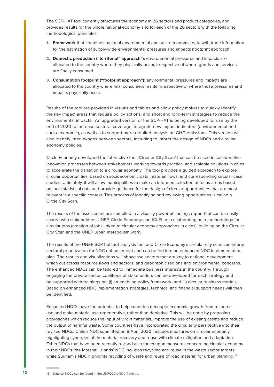<span id="page-9-0"></span>The SCP-HAT tool currently structures the economy in 26 sectors and product categories, and provides results for the whole national economy and for each of the 26 sectors with the following methodological principles:

- 1. **Framework** that combines national environmental and socio-economic data with trade information for the estimation of supply-wide environmental pressures and impacts (footprint approach).
- 2. **Domestic production ("territorial" approach"):** environmental pressures and impacts are allocated to the country where they physically occur, irrespective of where goods and services are finally consumed.
- 3. **Consumption footprint ("footprint approach"):** environmental pressures and impacts are allocated to the country where final consumers reside, irrespective of where those pressures and impacts physically occur.

Results of the tool are provided in visuals and tables and allow policy makers to quickly identify the key impact areas that require policy actions, and short and long-term strategies to reduce the environmental impacts. An upgraded version of the SCP-HAT is being developed for use by the end of 2020 to increase sectoral coverage, integrate new impact indicators (environmental and socio-economic), as well as to support more detailed analysis on GHG emissions. This version will also identify interlinkages between sectors, including to inform the design of NDCs and circular economy policies.

Circle Economy developed the interactive tool **['Circular City Scan'](https://www.circle-economy.com/digital/circle-city-scan-tool)** that can be used in collaborative innovation processes between stakeholders working towards practical and scalable solutions in cities to accelerate the transition to a circular economy. The tool provides a guided approach to explore circular opportunities, based on socioeconomic data, material flows, and corresponding circular case studies. Ultimately, it will allow municipalities to make an informed selection of focus areas based on local statistical data and provide guidance for the design of circular opportunities that are most relevant in a specific context. This process of identifying and reviewing opportunities is called a Circle City Scan.

The results of the assessment are compiled in a visually powerful findings report that can be easily shared with stakeholders. UNEP, **[Circle Economy](https://www.circle-economy.com/)** and **[ICLEI](https://www.iclei.org/)** are collaborating on a methodology for circular jobs (creation of jobs linked to circular economy approaches in cities), building on the Circular City Scan and the UNEP urban metabolism work.

The results of the UNEP SCP hotspot analysis tool and Circle Economy's circular city scan can inform sectoral prioritization for NDC enhancement and can be fed into an enhanced NDC implementation plan. The results and visualizations will showcase sectors that are key to national development which cut across resource flows and sectors, and geographic regions and environmental concerns. The enhanced NDCs can be tailored to immediate business interests in the country. Through engaging the private sector, coalitions of stakeholders can be developed for each strategy and be supported with trainings on: (i) an enabling policy framework; and (ii) circular business models. Based on enhanced NDC implementation strategies, technical and financial support needs will then be identified.

Enhanced NDCs have the potential to help countries decouple economic growth from resource use and make material use regenerative, rather than depletive. This will be done by proposing approaches which reduce the input of virgin materials, improve the use of existing assets and reduce the output of harmful waste. Some countries have incorporated the circularity perspective into their revised NDCs. Chile's NDC submitted on 9 April 2020 includes measures on circular economy, highlighting synergies of the material recovery and reuse with climate mitigation and adaptation. Other NDCs that have been recently revised also touch upon measures concerning circular economy in their NDCs: the Marshall Islands' NDC includes recycling and reuse in the waste sector targets, while Surinam's NDC highlights recycling of waste and reuse of road material for urban planning.**<sup>15</sup>**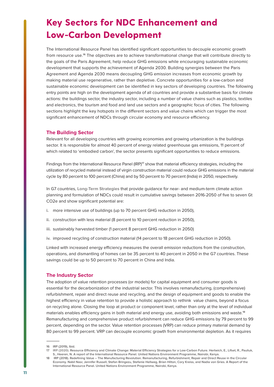# <span id="page-10-0"></span>**Key Sectors for NDC Enhancement and Low-Carbon Development**

The International Resource Panel has identified significant opportunities to decouple economic growth from resource use.**<sup>16</sup>** The objectives are to achieve transformational change that will contribute directly to the goals of the Paris Agreement, help reduce GHG emissions while encouraging sustainable economic development that supports the achievement of Agenda 2030. Building synergies between the Paris Agreement and Agenda 2030 means decoupling GHG emission increases from economic growth by making material use regenerative, rather than depletive. Concrete opportunities for a low-carbon and sustainable economic development can be identified in key sectors of developing countries. The following entry points are high on the development agenda of all countries and provide a substantive basis for climate actions: the buildings sector, the industry sector, including a number of value chains such as plastics, textiles and electronics, the tourism and food and land use sectors and a geographic focus of cities. The following sections highlight the key hotspots in the different sectors and value chains which can trigger the most significant enhancement of NDCs through circular economy and resource efficiency.

# **The Building Sector**

Relevant for all developing countries with growing economies and growing urbanization is the buildings sector. It is responsible for almost 40 percent of energy related greenhouse gas emissions, 11 percent of which related to 'embodied carbon', the sector presents significant opportunities to reduce emissions.

Findings from the International Resource Panel (IRP)**<sup>17</sup>** show that material efficiency strategies, including the utilization of recycled material instead of virgin construction material could reduce GHG emissions in the material cycle by 80 percent to 100 percent (China) and by 50 percent to 70 percent (India) in 2050, respectively.

In G7 countries, **[Long-Term Strategies](https://www.wri.org/publication/designing-G20-long-term-strategies)** that provide guidance for near- and medium-term climate action planning and formulation of NDCs could result in cumulative savings between 2016-2050 of five to seven Gt CO2e and show significant potential are:

- i. more intensive use of buildings (up to 70 percent GHG reduction in 2050),
- ii. construction with less material (8 percent to 10 percent reduction in 2050),
- iii. sustainably harvested timber (1 percent 8 percent GHG reduction in 2050)
- iv. improved recycling of construction material (14 percent to 18 percent GHG reduction in 2050).

Linked with increased energy efficiency measures the overall emission reductions from the construction, operations, and dismantling of homes can be 35 percent to 40 percent in 2050 in the G7 countries. These savings could be up to 50 percent to 70 percent in China and India.

# **The Industry Sector**

The adoption of value retention processes (or models) for capital equipment and consumer goods is essential for the decarbonization of the industrial sector. This involves remanufacturing, (comprehensive) refurbishment, repair and direct reuse and recycling, and the design of equipment and goods to enable the highest efficiency in value retention to provide a holistic approach to rethink value chains, beyond a focus on recycling alone. Closing the loop at product or component level, rather than only at the level of individual materials enables efficiency gains in both material and energy use, avoiding both emissions and waste.**<sup>18</sup>** Remanufacturing and comprehensive product refurbishment can reduce GHG emissions by 79 percent to 99 percent, depending on the sector. Value retention processes (VRP) can reduce primary material demand by 80 percent to 99 percent. VRP can decouple economic growth from environmental depletion. As it requires

**<sup>16</sup> IRP (2019), Ibid.**

**<sup>17</sup> [IRP \(2020\).](https://www.resourcepanel.org/reports/resource-efficiency-and-climate-change) Resource Efficiency and Climate Change: Material Efficiency Strategies for a Low-Carbon Future. Hertwich, E., Lifset, R., Pauliuk, S., Heeren, N. A report of the International Resource Panel. United Nations Environment Programme, Nairobi, Kenya.**

**<sup>18</sup> IRP (2018). Redefining Value – The Manufacturing Revolution. Remanufacturing, Refurbishment, Repair and Direct Reuse in the Circular Economy. Nabil Nasr, Jennifer Russell, Stefan Bringezu, Stefanie Hellweg, Brian Hilton, Cory Kreiss, and Nadia von Gries. A Report of the International Resource Panel. United Nations Environment Programme, Nairobi, Kenya.**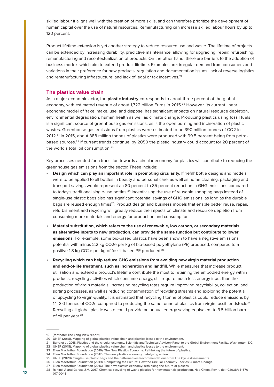<span id="page-11-0"></span>skilled labour it aligns well with the creation of more skills, and can therefore prioritize the development of human capital over the use of natural resources. Remanufacturing can increase skilled labour hours by up to 120 percent.

Product lifetime extension is yet another strategy to reduce resource use and waste. The lifetime of projects can be extended by increasing durability, predictive maintenance, allowing for upgrading, repair, refurbishing, remanufacturing and recontextualization of products. On the other hand, there are barriers to the adoption of business models which aim to extend product lifetime. Examples are: irregular demand from consumers and variations in their preference for new products; regulation and documentation issues; lack of reverse logistics and remanufacturing infrastructure; and lack of legal or tax incentives.**<sup>19</sup>**

# **The plastics value chain**

As a major economic actor, the **plastic industry** corresponds to about three percent of the global economy, with estimated revenue of about 1,722 billion Euros in 2015.**<sup>20</sup>** However, its current linear economic model of 'take, make, use, and dispose' has significant impacts on natural resource depletion, environmental degradation, human health as well as climate change. Producing plastics using fossil fuels is a significant source of greenhouse gas emissions, as is the open burning and incineration of plastic wastes. Greenhouse gas emissions from plastics were estimated to be 390 million tonnes of CO2 in 2012.**21** In 2015, about 388 million tonnes of plastics were produced with 99.5 percent being from petrobased sources.**<sup>22</sup>** If current trends continue, by 2050 the plastic industry could account for 20 percent of the world's total oil consumption.**<sup>23</sup>**

Key processes needed for a transition towards a circular economy for plastics will contribute to reducing the greenhouse gas emissions from the sector. These include:

- **Design which can play an important role in promoting circularity.** If 'refill' bottle designs and models were to be applied to all bottles in beauty and personal care, as well as home cleaning, packaging and transport savings would represent an 80 percent to 85 percent reduction in GHG emissions compared to today's traditional single-use bottles.**<sup>24</sup>** Incentivising the use of reusable shopping bags instead of single-use plastic bags also has significant potential savings of GHG emissions, as long as the durable bags are reused enough times**<sup>25</sup>**. Product design and business models that enable better reuse, repair, refurbishment and recycling will greatly reduce the impacts on climate and resource depletion from consuming more materials and energy for production and consumption.
- **Material substitution, which refers to the use of renewable, low carbon, or secondary materials as alternative inputs to new production, can provide the same function but contribute to lower emissions.** For example, some bio-based plastics have been shown to have a negative emissions potential with minus 2.2 kg CO2e per kg of bio-based polyethylene (PE) produced, compared to a positive 1.8 kg CO2e per kg of fossil-based PE produced.**<sup>26</sup>**
- **Recycling which can help reduce GHG emissions from avoiding new virgin material production and end-of-life treatment, such as incineration and landfill.** While measures that increase product utilisation and extend a product's lifetime contribute the most to retaining the embodied energy within products, recycling activities which consume energy, still require much less energy input than the production of virgin materials. Increasing recycling rates require improving recyclability, collection, and sorting processes, as well as reducing contamination of recycling streams and exploring the potential of upcycling to virgin-quality. It is estimated that recycling 1 tonne of plastics could reduce emissions by 1.1–3.0 tonnes of CO2e compared to producing the same tonne of plastics from virgin fossil feedstock.**<sup>27</sup>** Recycling all global plastic waste could provide an annual energy saving equivalent to 3.5 billion barrels of oil per year.**<sup>28</sup>**

**<sup>19</sup> [footnote: The Long View report]**

**<sup>20</sup> UNEP (2018), Mapping of global plastics value chain and plastics losses to the environment.**

**<sup>21</sup> Barra et al. 2018. Plastics and the circular economy. Scientific and Technical Advisory Panel to the Global Environment Facility. Washington, DC.**

**<sup>22</sup> UNEP (2018), Mapping of global plastics value chain and plastics losses to the environment.**

**<sup>23</sup> Ellen MacArthur Foundation (2016), The New Plastics Economy: Rethinking the future of plastics. 24 Ellen MacArthur Foundation (2017), The new plastics economy: catalysing action.**

**<sup>25</sup> UNEP (2020). [Single-use plastic bags and their alternatives Recommendations from Life Cycle Assessments.](https://www.lifecycleinitiative.org/single-use-plastic-bags-and-their-alternatives-recommendations-from-life-cycle-assessments/)**

**<sup>26</sup> Ellen MacArthur Foundation (2019), Completing the Picture: How the Circular Economy Tackles Climate Change**

**<sup>27</sup> Ellen MacArthur Foundation (2016), The new plastics economy: rethinking the future of plastics**

**<sup>28</sup> Rahimi, A and García, J.M. 2017. Chemical recycling of waste plastics for new materials production, Nat. Chem. Rev. 1, doi:10.1038/s41570- 017-0046.**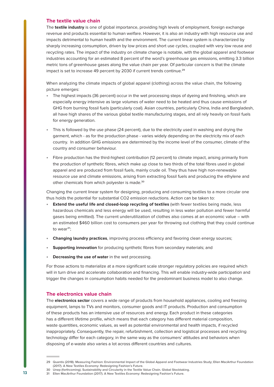### <span id="page-12-0"></span>**The textile value chain**

The **textile industry** is one of global importance, providing high levels of employment, foreign exchange revenue and products essential to human welfare. However, it is also an industry with high resource use and impacts detrimental to human health and the environment. The current linear system is characterized by sharply increasing consumption, driven by low prices and short use cycles, coupled with very low reuse and recycling rates. The impact of the industry on climate change is notable, with the global apparel and footwear industries accounting for an estimated 8 percent of the word's greenhouse gas emissions, emitting 3.3 billion metric tons of greenhouse gases along the value chain per year. Of particular concern is that the climate impact is set to increase 49 percent by 2030 if current trends continue.**<sup>29</sup>**

When analyzing the climate impacts of global apparel (clothing) across the value chain, the following picture emerges:

- The highest impacts (36 percent) occur in the wet processing steps of dyeing and finishing, which are especially energy intensive as large volumes of water need to be heated and thus cause emissions of GHG from burning fossil fuels (particularly coal). Asian countries, particularly China, India and Bangladesh, all have high shares of the various global textile manufacturing stages, and all rely heavily on fossil fuels for energy generation.
- This is followed by the use phase (24 percent), due to the electricity used in washing and drying the garment, which - as for the production phase - varies widely depending on the electricity mix of each country. In addition GHG emissions are determined by the income level of the consumer, climate of the country and consumer behaviour.
- Fibre production has the third-highest contribution (12 percent) to climate impact, arising primarily from the production of synthetic fibres, which make up close to two thirds of the total fibres used in global apparel and are produced from fossil fuels, mainly crude oil. They thus have high non-renewable resource use and climate emissions, arising from extracting fossil fuels and producing the ethylene and other chemicals from which polyester is made.**<sup>30</sup>**

Changing the current linear system for designing, producing and consuming textiles to a more circular one thus holds the potential for substantial CO2 emission reductions. Action can be taken to:

- **Extend the useful life and closed-loop recycling of textiles** (with fewer textiles being made, less hazardous chemicals and less energy will be used, resulting in less water pollution and fewer harmful gases being emitted). The current underutilization of clothes also comes at an economic value – with an estimated \$460 billion cost to consumers per year for throwing out clothing that they could continue to wear**<sup>31</sup>**;
- **Changing laundry practices**, improving process efficiency and favoring clean energy sources;
- **Supporting innovation** for producing synthetic fibres from secondary materials; and
- **Decreasing the use of water** in the wet processing.

For those actions to materialize at a more significant scale stronger regulatory policies are required which will in turn drive and accelerate collaboration and financing. This will enable industry-wide participation and trigger the changes in consumption habits needed for the predominant business model to also change.

# **The electronics value chain**

The **electronics sector** covers a wide range of products from household appliances, cooling and freezing equipment, lamps to TVs and monitors, consumer goods and IT products. Production and consumption of these products has an intensive use of resources and energy. Each product in these categories has a different lifetime profile, which means that each category has different material composition, waste quantities, economic values, as well as potential environmental and health impacts, if recycled inappropriately. Consequently, the repair, refurbishment, collection and logistical processes and recycling technology differ for each category, in the same way as the consumers' attitudes and behaviors when disposing of e-waste also varies a lot across different countries and cultures.

**<sup>29</sup> Quantis (2018). Measuring Fashion: Environmental Impact of the Global Apparel and Footwear Industries Study; Ellen MacArthur Foundation (2017). A New Textiles Economy: Redesigning Fashion's Future.**

**<sup>30</sup> Unep (forthcoming). Sustainability and Circularity in the Textile Value Chain. Global Stocktaking.**

**<sup>31</sup> Ellen MacArthur Foundation (2017). A New Textiles Economy: Redesigning Fashion's Future.**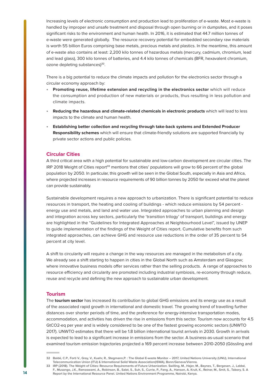<span id="page-13-0"></span>Increasing levels of electronic consumption and production lead to proliferation of e-waste. Most e-waste is handled by improper and unsafe treatment and disposal through open burning or in dumpsites, and it poses significant risks to the environment and human health. In 2016, it is estimated that 44.7 million tonnes of e-waste were generated globally. The resource recovery potential for embedded secondary raw materials is worth 55 billion Euros comprising base metals, precious metals and plastics. In the meantime, this amount of e-waste also contains at least: 2,200 kilo tonnes of hazardous metals (mercury, cadmium, chromium, lead and lead glass), 300 kilo tonnes of batteries, and 4.4 kilo tonnes of chemicals (BFR, hexavalent chromium, ozone depleting substances)**<sup>32</sup>**.

There is a big potential to reduce the climate impacts and pollution for the electronics sector through a circular economy approach by:

- **Promoting reuse, lifetime extension and recycling in the electronics sector** which will reduce the consumption and production of new materials or products, thus resulting in less pollution and climate impacts.
- **Reducing the hazardous and climate-related chemicals in electronic products** which will lead to less impacts to the climate and human health.
- **Establishing better collection and recycling through take-back systems and Extended Producer Responsibility schemes** which will ensure that climate-friendly solutions are supported financially by private sector actions and public policies.

### **Circular Cities**

A third critical area with a high potential for sustainable and low-carbon development are circular cities. The IRP 2018 Weight of Cities report**<sup>33</sup>** mentions that cities' populations will grow to 66 percent of the global population by 2050. In particular, this growth will be seen in the Global South, especially in Asia and Africa, where projected increases in resource requirements of 90 billion tonnes by 2050 far exceed what the planet can provide sustainably.

Sustainable development requires a new approach to urbanization. There is significant potential to reduce resources in transport, the heating and cooling of buildings - which reduce emissions by 54 percent energy use and metals, and land and water use. Integrated approaches to urban planning and design and integration across key sectors, particularly the 'transition trilogy' of transport, buildings and energy are highlighted in the "Guidelines for Integrated Approaches at Neighbourhood Level", issued by UNEP to guide implementation of the findings of the Weight of Cities report. Cumulative benefits from such integrated approaches, can achieve GHG and resource use reductions in the order of 35 percent to 54 percent at city level.

A shift to circularity will require a change in the way resources are managed in the metabolism of a city. We already see a shift starting to happen in cities in the Global North such as Amsterdam and Glasgow; where innovative business models offer services rather than the selling products. A range of approaches to resource efficiency and circularity are promoted including industrial symbiosis, re-economy through reduce, reuse and recycle and defining the new approach to sustainable urban development.

### **Tourism**

The **tourism sector** has increased its contribution to global GHG emissions and its energy use as a result of the associated rapid growth in international and domestic travel. The growing trend of travelling further distances over shorter periods of time, and the preference for energy-intensive transportation modes, accommodation, and activities has driven the rise in emissions from this sector. Tourism now accounts for 4.5 GtCO2-eq per year and is widely considered to be one of the fastest growing economic sectors (UNWTO 2017). UNWTO estimates that there will be 1.8 billion international tourist arrivals in 2030. Growth in arrivals is expected to lead to a significant increase in emissions from the sector. A business-as-usual scenario that examined tourism emission trajectories projected a 169 percent increase between 2010-2050 (Gössling and

**<sup>32</sup> Baldé, C.P., Forti V., Gray, V., Kuehr, R., Stegmann,P. : The Global E-waste Monitor – 2017, United Nations University (UNU), International Telecommunication Union (ITU) & International Solid Waste Association(ISWA), Bonn/Geneva/Vienna.**

**<sup>33</sup> IRP (2018). The Weight of Cities: Resource Requirements of Future Urbanization. Swilling, M., Hajer, M., Baynes, T., Bergesen, J., Labbé, F., Musango, J.K., Ramaswami, A., Robinson, B., Salat, S., Suh, S., Currie, P., Fang, A., Hanson, A. Kruit, K., Reiner, M., Smit, S., Tabory, S. A Report by the International Resource Panel. United Nations Environment Programme, Nairobi, Kenya.**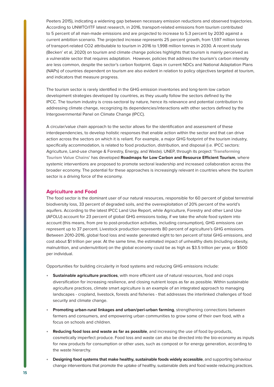<span id="page-14-0"></span>Peeters 2015), indicating a widening gap between necessary emission reductions and observed trajectories. According to UNWTO/ITF latest research, in 2016, transport-related emissions from tourism contributed to 5 percent of all man-made emissions and are projected to increase to 5.3 percent by 2030 against a current ambition scenario. The projected increase represents 25 percent growth, from 1,597 million tonnes of transport-related CO2 attributable to tourism in 2016 to 1,998 million tonnes in 2030. A recent study (Becken' et al, 2020) on tourism and climate change policies highlights that tourism is mainly perceived as a vulnerable sector that requires adaptation. However, policies that address the tourism's carbon intensity are less common, despite the sector's carbon footprint. Gaps in current NDCs and National Adaptation Plans (NAPs) of countries dependent on tourism are also evident in relation to policy objectives targeted at tourism, and indicators that measure progress.

The tourism sector is rarely identified in the GHG emission inventories and long-term low carbon development strategies developed by countries, as they usually follow the sectors defined by the IPCC. The tourism industry is cross-sectoral by nature, hence its relevance and potential contribution to addressing climate change, recognizing its dependencies/interactions with other sectors defined by the Intergovernmental Panel on Climate Change (IPCC).

A circular/value chain approach to the sector allows for the identification and assessment of these interdependencies, to develop holistic responses that enable action within the sector and that can drive action across the sectors on which it is reliant. For example, a major GHG footprint of the tourism industry, specifically accommodation, is related to food production, distribution, and disposal (i.e. IPCC sectors: Agriculture, Land-use change & Forestry, Energy, and Waste). UNEP, through its project **['Transforming](https://www.oneplanetnetwork.org/transforming-tourism)  [Tourism Value Chains'](https://www.oneplanetnetwork.org/transforming-tourism)** has developed **Roadmaps for Low Carbon and Resource Efficient Tourism**, where systemic interventions are proposed to promote sectoral leadership and increased collaboration across the broader economy. The potential for these approaches is increasingly relevant in countries where the tourism sector is a driving force of the economy.

# **Agriculture and Food**

The food sector is the dominant user of our natural resources, responsible for 60 percent of global terrestrial biodiversity loss, 33 percent of degraded soils, and the overexploitation of 20% percent of the world's aquifers. According to the latest IPCC Land Use Report, while Agriculture, Forestry and other Land Use (AFOLU) account for 23 percent of global GHG emissions today, if we take the whole food system into account (this means, from pre to post-production activities, including consumption), GHG emissions can represent up to 37 percent. Livestock production represents 80 percent of agriculture's GHG emissions. Between 2010-2016, global food loss and waste generated eight to ten percent of total GHG emissions, and cost about \$1 trillion per year. At the same time, the estimated impact of unhealthy diets (including obesity, malnutrition, and undernutrition) on the global economy could be as high as \$3.5 trillion per year, or \$500 per individual.

Opportunities for building circularity in food systems and reducing GHG emissions include:

- **Sustainable agriculture practices**, with more efficient use of natural resources, food and crops diversification for increasing resilience, and closing nutrient loops as far as possible. Within sustainable agriculture practices, climate smart agriculture is an example of an integrated approach to managing landscapes - cropland, livestock, forests and fisheries - that addresses the interlinked challenges of food security and climate change.
- **Promoting urban-rural linkages and urban/peri-urban farming**, strengthening connections between farmers and consumers, and empowering urban communities to grow some of their own food, with a focus on schools and children.
- **Reducing food loss and waste as far as possible**, and increasing the use of food by-products, cosmetically imperfect produce. Food loss and waste can also be directed into the bio-economy as inputs for new products for consumption or other uses, such as compost or for energy generation, according to the waste hierarchy.
- **Designing food systems that make healthy, sustainable foods widely accessible**, and supporting behaviour change interventions that promote the uptake of healthy, sustainable diets and food waste reducing practices.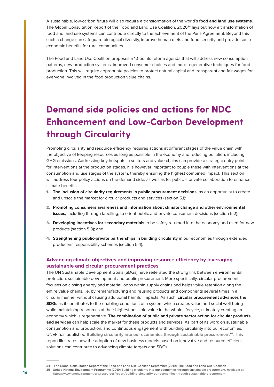<span id="page-15-0"></span>A sustainable, low-carbon future will also require a transformation of the world's **food and land use systems**. The Global Consultation Report of the Food and Land Use Coalition, 2020**<sup>34</sup>** lays out how a transformation of food and land use systems can contribute directly to the achievement of the Paris Agreement. Beyond this such a change can safeguard biological diversity, improve human diets and food security and provide socioeconomic benefits for rural communities.

The Food and Land Use Coalition proposes a 10-points reform agenda that will address new consumption patterns, new production systems, improved consumer choices and more regenerative techniques for food production. This will require appropriate policies to protect natural capital and transparent and fair wages for everyone involved in the food production value chains.

# **Demand side policies and actions for NDC Enhancement and Low-Carbon Development through Circularity**

Promoting circularity and resource efficiency requires actions at different stages of the value chain with the objective of keeping resources as long as possible in the economy and reducing pollution, including GHG emissions. Addressing key hotspots in sectors and value chains can provide a strategic entry point for interventions at the production stages. It is however important to couple these with interventions at the consumption and use stages of the system, thereby ensuring the highest combined impact. This section will address four policy actions on the demand side, as well as for public – private collaboration to enhance climate benefits:

- 1. **The inclusion of circularity requirements in public procurement decisions,** as an opportunity to create and upscale the market for circular products and services (section 5.1);
- 2. **Promoting consumers awareness and information about climate change and other environmental issues,** including through labelling, to orient public and private consumers decisions (section 5.2);
- 3. **Developing incentives for secondary materials** to be safely returned into the economy and used for new products (section 5.3); and
- 4. **Strengthening public-private partnerships in building circularity** in our economies through extended producers' responsibility schemes (section 5.4).

# **Advancing climate objectives and improving resource efficiency by leveraging sustainable and circular procurement practices**

The UN Sustainable Development Goals (SDGs) have reiterated the strong link between environmental protection, sustainable development and public procurement. More specifically, circular procurement focuses on closing energy and material loops within supply chains and helps value retention along the entire value chains, i.e. by remanufacturing and reusing products and components several times in a circular manner without causing additional harmful impacts. As such, **circular procurement advances the SDGs** as it contributes to the enabling conditions of a system which creates value and social well-being while maintaining resources at their highest possible value in the whole lifecycle, ultimately creating an economy which is regenerative. **The combination of public and private sector action for circular products and services** can help scale the market for these products and services. As part of its work on sustainable consumption and production, and continuous engagement with building circularity into our economies, UNEP has published **[Building circularity into our economies through sustainable procurement](https://www.unenvironment.org/resources/report/building-circularity-our-economies-through-sustainable-procurement)35**. This report illustrates how the adoption of new business models based on innovative and resource-efficient solutions can contribute to advancing climate targets and SDGs.

**<sup>34</sup> The Global Consultation Report of the Food and Land Use Coalition September (2019), The Food and Land Use Coalition 35 United Nations Environment Programme (2019) Building circularity into our economies through sustainable procurement. Available at: <https://www.unenvironment.org/resources/report/building-circularity-our-economies-through-sustainable-procurement>**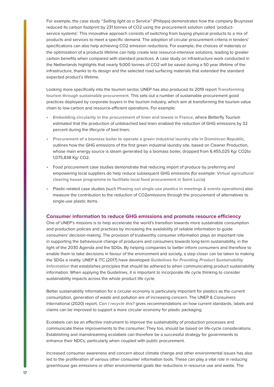<span id="page-16-0"></span>For example, the case study "Selling light as a Service" (Philipps) demonstrates how the company Bruynzeel reduced its carbon footprint by 231 tonnes of CO2 using the procurement solution called 'productservice systems'. This innovative approach consists of switching from buying physical products to a mix of products and services to meet a specific demand. The adoption of circular procurement criteria in tenders' specifications can also help achieving CO2 emission reductions. For example, the choices of materials or the optimization of a products lifetime can help create less resource-intensive solutions, leading to greater carbon benefits when compared with standard practices. A case study on infrastructure work conducted in the Netherlands highlights that nearly 9,000 tonnes of CO2 will be saved during a 50 year lifetime of the infrastructure, thanks to its design and the selected road surfacing materials that extended the standard expected product's lifetime.

Looking more specifically into the tourism sector, UNEP has also produced its 2019 report **[Transforming](https://www.oneplanetnetwork.org/resource/transforming-tourism-through-sustainable-procurement)  [tourism through sustainable procurement](https://www.oneplanetnetwork.org/resource/transforming-tourism-through-sustainable-procurement)**. This sets out a number of sustainable procurement good practices deployed by corporate buyers in the tourism industry, which aim at transforming the tourism value chain to low-carbon and resource-efficient operations. For example:

- **[Embedding circularity in the procurement of linen and towels in France](http://www.oneplanetnetwork.org/sites/default/files/embedding_circularity_in_procurement_of_linen_in_france_2.pdf)**, where Betterfly Tourism estimated that the production of unbleached bed linen enabled the reduction of GHG emissions by 32 percent during the lifecycle of bed linen;
- **[Procurement of a biomass boiler to operate a green industrial laundry site in Dominican Republic](http://www.oneplanetnetwork.org/sites/default/files/green_industrial_laundry_site_in_dominican_republic.pdf)**, outlines how the GHG emissions of the first green industrial laundry site, based on Cleaner Production, whose main energy source is steam generated by a biomass boiler, dropped from 6,455,025 Kg/ CO2to 1,075,838 Kg/ CO2;
- Food procurement case studies demonstrate that reducing import of produce by preferring and empowering local suppliers do help reduce subsequent GHG emissions (for example: **[Virtual agricultural](http://www.oneplanetnetwork.org/sites/default/files/virtual_agricultural_clearing_house_programme_to_ease_local_food_procurement_in_saint_lucia_2.pdf)  [clearing house programme to facilitate local food procurement in Saint Lucia](http://www.oneplanetnetwork.org/sites/default/files/virtual_agricultural_clearing_house_programme_to_ease_local_food_procurement_in_saint_lucia_2.pdf)**)
- Plastic-related case studies (such **[Phasing out single-use plastics in meetings & events operations](http://www.oneplanetnetwork.org/sites/default/files/phasing_out_single-use_plastics_in_meetings_and_events_operations_1.pdf)**) also measure the contribution to the reduction of CO2emissions through the procurement of alternatives to single-use plastic items.

### **Consumer information to reduce GHG emissions and promote resource efficiency**

One of UNEP's missions is to help accelerate the world's transition towards more sustainable consumption and production policies and practices by increasing the availability of reliable information to guide consumers' decision-making. The provision of trustworthy consumer information plays an important role in supporting the behavioural change of producers and consumers towards long-term sustainability, in the light of the 2030 Agenda and the SDGs. By helping companies to better inform consumers and therefore to enable them to take decisions in favour of the environment and society, a step closer can be taken to making the SDGs a reality. UNEP & ITC (2017) have developed **[Guidelines for Providing Product Sustainability](https://www.oneplanetnetwork.org/resource/guidelines-providing-product-sustainability-information)  [Information](https://www.oneplanetnetwork.org/resource/guidelines-providing-product-sustainability-information)** that establishes principles that should be adhered to when communicating product sustainability information. When applying the Guidelines, it is important to incorporate life cycle thinking to consider sustainability impacts across the whole product life cycle.

Better sustainability information for a circular economy is particularly important for plastics as the current consumption, generation of waste and pollution are of increasing concern. The UNEP & Consumers International (2020) report, **[Can I recycle this?](https://www.oneplanetnetwork.org/resource/can-i-recycle-global-mapping-and-assessment-standards-labels-and-claims-plastic-packaging)** gives recommendations on how current standards, labels and claims can be improved to support a more circular economy for plastic packaging.

Ecolabels can be an effective instrument to improve the sustainability of production processes and communicate these improvements to the consumer. They too, should be based on life-cycle considerations. Establishing and mainstreaming ecolabels can therefore be a successful strategy for governments to enhance their NDCs, particularly when coupled with public procurement.

Increased consumer awareness and concern about climate change and other environmental issues has also led to the proliferation of various other consumer information tools. These can play a vital role in reducing greenhouse gas emissions or other environmental goals like reductions in resource use and waste. The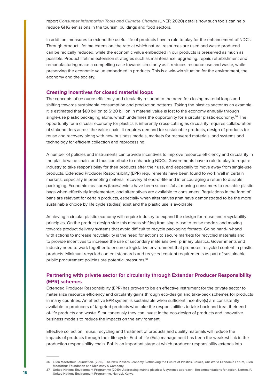<span id="page-17-0"></span>report **[Consumer Information Tools and Climate Change](https://www.oneplanetnetwork.org/resource/consumer-information-tools-and-climate-change)** (UNEP, 2020) details how such tools can help reduce GHG emissions in the tourism, buildings and food sectors.

In addition, measures to extend the useful life of products have a role to play for the enhancement of NDCs. Through product lifetime extension, the rate at which natural resources are used and waste produced can be radically reduced, while the economic value embedded in our products is preserved as much as possible. Product lifetime extension strategies such as maintenance, upgrading, repair, refurbishment and remanufacturing make a compelling case towards circularity as it reduces resource use and waste, while preserving the economic value embedded in products. This is a win-win situation for the environment, the economy and the society.

#### **Creating incentives for closed material loops**

The concepts of resource efficiency and circularity respond to the need for closing material loops and shifting towards sustainable consumption and production patterns. Taking the plastics sector as an example, it is estimated that \$80 billion to \$120 billion in material value is lost to the economy annually through single-use plastic packaging alone, which underlines the opportunity for a circular plastic economy.**<sup>36</sup>** The opportunity for a circular economy for plastics is inherently cross-cutting as circularity requires collaboration of stakeholders across the value chain. It requires demand for sustainable products, design of products for reuse and recovery along with new business models, markets for recovered materials, and systems and technology for efficient collection and reprocessing.

A number of policies and instruments can provide incentives to improve resource efficiency and circularity in the plastic value chain, and thus contribute to enhancing NDCs. Governments have a role to play to require industry to take responsibility for their products after their use, and especially to move away from single-use products. Extended Producer Responsibility (EPR) requirements have been found to work well in certain markets, especially in promoting material recovery at end-of-life and in encouraging a return to durable packaging. Economic measures (taxes/levies) have been successful at moving consumers to reusable plastic bags when effectively implemented, and alternatives are available to consumers. Regulations in the form of bans are relevant for certain products, especially when alternatives (that have demonstrated to be the more sustainable choice by life cycle studies) exist and the plastic use is avoidable.

Achieving a circular plastic economy will require industry to expand the design for reuse and recyclability principles. On the product design side this means shifting from single-use to reuse models and moving towards product delivery systems that avoid difficult to recycle packaging formats. Going hand-in-hand with actions to increase recyclability is the need for actions to secure markets for recycled materials and to provide incentives to increase the use of secondary materials over primary plastics. Governments and industry need to work together to ensure a legislative environment that promotes recycled content in plastic products. Minimum recycled content standards and recycled content requirements as part of sustainable public procurement policies are potential measures.**<sup>37</sup>**

# **Partnering with private sector for circularity through Extender Producer Responsibility (EPR) schemes**

Extended Producer Responsibility (EPR) has proven to be an effective instrument for the private sector to materialize resource efficiency and circularity gains through eco-design and take-back schemes for products in many countries. An effective EPR system is sustainable when sufficient incentive(s) are consistently available to producers of targeted products who take the responsibilities to take back and treat their endof-life products and waste. Simultaneously they can invest in the eco-design of products and innovative business models to reduce the impacts on the environment.

Effective collection, reuse, recycling and treatment of products and quality materials will reduce the impacts of products through their life cycle. End-of-life (EoL) management has been the weakest link in the production responsibility chain. EoL is an important stage at which producer responsibility extends into

**<sup>36</sup> Ellen MacArthur Foundation. (2016). The New Plastics Economy: Rethinking the Future of Plastics. Cowes, UK: World Economic Forum, Ellen MacArthur Foundation and McKinsey & Company.**

**<sup>37</sup> United Nations Environment Programme (2019). Addressing marine plastics: A systemic approach - Recommendations for action. Notten, P. United Nations Environment Programme. Nairobi, Kenya.**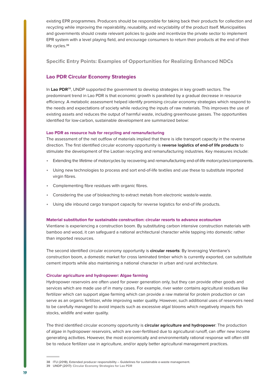<span id="page-18-0"></span>existing EPR programmes. Producers should be responsible for taking back their products for collection and recycling while improving the repairability, reusability, and recyclability of the product itself. Municipalities and governments should create relevant policies to guide and incentivize the private sector to implement EPR system with a level playing field, and encourage consumers to return their products at the end of their life cycles.**<sup>38</sup>**

**Specific Entry Points: Examples of Opportunities for Realizing Enhanced NDCs**

# **Lao PDR Circular Economy Strategies**

In Lao PDR<sup>39</sup>, UNDP supported the government to develop strategies in key growth sectors. The predominant trend in Lao PDR is that economic growth is paralleled by a gradual decrease in resource efficiency. A metabolic assessment helped identify promising circular economy strategies which respond to the needs and expectations of society while reducing the inputs of raw materials. This improves the use of existing assets and reduces the output of harmful waste, including greenhouse gasses. The opportunities identified for low-carbon, sustainable development are summarized below:

### **Lao PDR as resource hub for recycling and remanufacturing**

The assessment of the net outflow of materials implied that there is idle transport capacity in the reverse direction. The first identified circular economy opportunity is **reverse logistics of end-of life products** to stimulate the development of the Laotian recycling and remanufacturing industries. Key measures include:

- Extending the lifetime of motorcycles by recovering and remanufacturing end-of-life motorcycles/components.
- Using new technologies to process and sort end-of-life textiles and use these to substitute imported virgin fibres.
- Complementing fibre residues with organic fibres.
- Considering the use of bioleaching to extract metals from electronic waste/e-waste.
- Using idle inbound cargo transport capacity for reverse logistics for end-of life products.

#### **Material substitution for sustainable construction: circular resorts to advance ecotourism**

Vientiane is experiencing a construction boom. By substituting carbon intensive construction materials with bamboo and wood, it can safeguard a national architectural character while tapping into domestic rather than imported resources.

The second identified circular economy opportunity is **circular resorts**: By leveraging Vientiane's construction boom, a domestic market for cross laminated timber which is currently exported, can substitute cement imports while also maintaining a national character in urban and rural architecture.

#### **Circular agriculture and hydropower: Algae farming**

Hydropower reservoirs are often used for power generation only, but they can provide other goods and services which are made use of in many cases. For example, river water contains agricultural residues like fertilizer which can support algae farming which can provide a raw material for protein production or can serve as an organic fertilizer, while improving water quality. However, such additional uses of reservoirs need to be carefully managed to avoid impacts such as excessive algal blooms which negatively impacts fish stocks, wildlife and water quality.

The third identified circular economy opportunity is **circular agriculture and hydropower**: The production of algae in hydropower reservoirs, which are over-fertilised due to agricultural runoff, can offer new income generating activities. However, the most economically and environmentally rational response will often still be to reduce fertilizer use in agriculture, and/or apply better agricultural management practices.

**<sup>38</sup> ITU (2018), Extended producer responsibility – Guidelines for sustainable e-waste management.** 

**<sup>39</sup> UNDP (2017): [Circular Economy Strategies for Lao PDR](https://www.undp.org/content/undp/en/home/librarypage/climate-and-disaster-resilience-/circular-economy-strategies-for-lao-pdr.html)**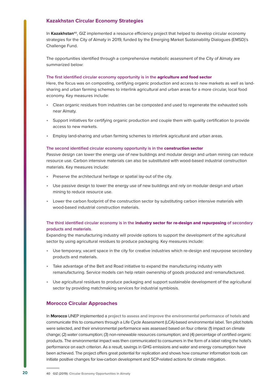# <span id="page-19-0"></span>**Kazakhstan Circular Economy Strategies**

In Kazakhstan<sup>40</sup>, GIZ implemented a resource efficiency project that helped to develop circular economy strategies for the City of Almaty in 2019, funded by the Emerging Market Sustainability Dialogues (EMSD)'s Challenge Fund.

The opportunities identified through a comprehensive metabolic assessment of the City of Almaty are summarized below:

#### **The first identified circular economy opportunity is in the** agriculture and food sector

Here, the focus was on composting, certifying organic production and access to new markets as well as landsharing and urban farming schemes to interlink agricultural and urban areas for a more circular, local food economy. Key measures include:

- Clean organic residues from industries can be composted and used to regenerate the exhausted soils near Almaty.
- Support initiatives for certifying organic production and couple them with quality certification to provide access to new markets.
- Employ land-sharing and urban farming schemes to interlink agricultural and urban areas.

#### **The second identified circular economy opportunity is in the** construction sector

Passive design can lower the energy use of new buildings and modular design and urban mining can reduce resource use. Carbon intensive materials can also be substituted with wood-based industrial construction materials. Key measures include:

- Preserve the architectural heritage or spatial lay-out of the city.
- Use passive design to lower the energy use of new buildings and rely on modular design and urban mining to reduce resource use.
- Lower the carbon footprint of the construction sector by substituting carbon intensive materials with wood-based industrial construction materials.

# **The third identified circular economy is in the** industry sector for re-design and repurposing **of secondary products and materials**.

Expanding the manufacturing industry will provide options to support the development of the agricultural sector by using agricultural residues to produce packaging. Key measures include:

- Use temporary, vacant space in the city for creative industries which re-design and repurpose secondary products and materials.
- Take advantage of the Belt and Road initiative to expand the manufacturing industry with remanufacturing. Service models can help retain ownership of goods produced and remanufactured.
- Use agricultural residues to produce packaging and support sustainable development of the agricultural sector by providing matchmaking services for industrial symbiosis.

### **Morocco Circular Approaches**

In **Morocco** UNEP implemented a **[project to assess and improve the environmental performance of hotels](https://www.oneplanetnetwork.org/resource/environmental-footprint-hotels-morocco)** and communicate this to consumers through a Life Cycle Assessment (LCA)-based environmental label. Ten pilot hotels were selected, and their environmental performance was assessed based on four criteria: (1) impact on climate change; (2) water consumption; (3) non-renewable resources consumption; and (4) percentage of certified organic products. The environmental impact was then communicated to consumers in the form of a label rating the hotel's performance on each criterion. As a result, savings in GHG emissions and water and energy consumption have been achieved. The project offers great potential for replication and shows how consumer information tools can initiate positive changes for low-carbon development and SCP-related actions for climate mitigation.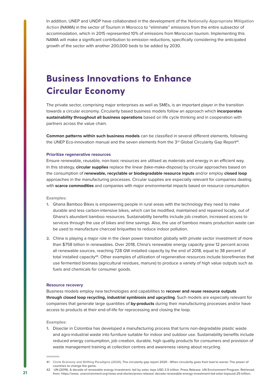<span id="page-20-0"></span>In addition, UNEP and UNDP have collaborated in the development of the **[Nationally Appropriate Mitigation](https://www.oneplanetnetwork.org/resource/towards-climate-friendly-accomodation-sector-through-energy-efficiency-and-renewable-energy)  [Action](https://www.oneplanetnetwork.org/resource/towards-climate-friendly-accomodation-sector-through-energy-efficiency-and-renewable-energy)** (NAMA) in the sector of Tourism in Morocco to "eliminate" emissions from the entire subsector of accommodation, which in 2015 represented 10% of emissions from Moroccan tourism. Implementing this NAMA will make a significant contribution to emission reductions, specifically considering the anticipated growth of the sector with another 200,000 beds to be added by 2030.

# **Business Innovations to Enhance Circular Economy**

The private sector, comprising major enterprises as well as SMEs, is an important player in the transition towards a circular economy. Circularity based business models follow an approach which **incorporates sustainability throughout all business operations** based on life cycle thinking and in cooperation with partners across the value chain.

**Common patterns within such business models** can be classified in several different elements, following the UNEP Eco-innovation manual and the seven elements from the 3<sup>rd</sup> Global Circularity Gap Report<sup>41</sup>.

#### **Prioritize regenerative resources**

Ensure renewable, reusable, non-toxic resources are utilised as materials and energy in an efficient way. In this strategy, **circular supplies** replace the linear (take-make-dispose) by circular approaches based on the consumption of **renewable, recyclable or biodegradable resource inputs** and/or employ **closed loop** approaches in the manufacturing processes. Circular supplies are especially relevant for companies dealing with **scarce commodities** and companies with major environmental impacts based on resource consumption.

**Examples:** 

- 1. Ghana Bamboo Bikes is empowering people in rural areas with the technology they need to make durable and less carbon-intensive bikes, which can be modified, maintained and repaired locally, out of Ghana's abundant bamboo resources. Sustainability benefits include job creation, increased access to services through the use of bikes and time savings. Also, the use of bamboo means production waste can be used to manufacture charcoal briquettes to reduce indoor pollution.
- 2. China is playing a major role in the clean power transition globally with private sector investment of more than \$758 billion in renewables. Over 2018, China's renewable energy capacity grew 12 percent across all renewable sources, reaching 728 GW installed capacity by the end of 2018, equal to 38 percent of total installed capacity**<sup>42</sup>**. Other examples of utilization of regenerative resources include biorefineries that use fermented biomass (agricultural residues, manure) to produce a variety of high value outputs such as fuels and chemicals for consumer goods.

#### **Resource recovery**

Business models employ new technologies and capabilities to **recover and reuse resource outputs through closed loop recycling, industrial symbiosis and upcycling**. Such models are especially relevant for companies that generate large quantities of **by-products** during their manufacturing processes and/or have access to products at their end-of-life for reprocessing and closing the loop.

**Examples:** 

1. Diseclar in Colombia has developed a manufacturing process that turns non-degradable plastic waste and agro-industrial waste into furniture suitable for indoor and outdoor use. Sustainability benefits include reduced energy consumption, job creation, durable, high quality products for consumers and provision of waste management training at collection centres and awareness raising about recycling.

**<sup>41</sup> [Circle Economy and Shifting Paradigms \(2020\)](https://www.shiftingparadigms.nl/projects/3rd-global-circularity-gap-report/), The circularity gap report 2020 - When circularity goes from bad to worse: The power of countries to change the game.**

**<sup>42</sup> UN (2019). A decade of renewable energy investment, led by solar, tops USD 2.5 trillion. Press Release. UN Environment Program. Retrieved from: https://www. unenvironment.org/news-and-stories/press-release/ decade-renewable-energy-investment-led-solar-topsusd-25-trillion.**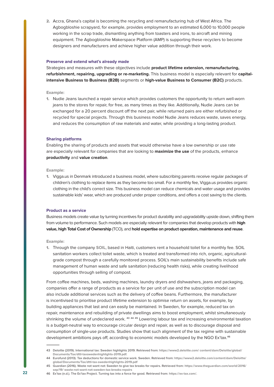2. Accra, Ghana's capital is becoming the recycling and remanufacturing hub of West Africa. The Agbogbloshie scrapyard, for example, provides employment to an estimated 6,000 to 10,000 people working in the scrap trade, dismantling anything from toasters and irons, to aircraft and mining equipment. The Agbogbloshie Makerspace Platform (AMP) is supporting these recyclers to become designers and manufacturers and achieve higher value addition through their work.

#### **Preserve and extend what's already made**

Strategies and measures with these objectives include **product lifetime extension, remanufacturing, refurbishment, repairing, upgrading or re-marketing.** This business model is especially relevant for **capitalintensive Business to Business (B2B)** segments or **high-value Business to Consumer (B2C)** products.

#### **Example:**

1. Nudie Jeans launched a repair service which provides customers the opportunity to return well-worn jeans to the stores for repair, for free, as many times as they like. Additionally, Nudie Jeans can be exchanged for a 20 percent discount off the next pair, while returned pairs are either refurbished or recycled for special projects. Through this business model Nudie Jeans reduces waste, saves energy, and reduces the consumption of raw materials and water, while providing a long-lasting product.

#### **Sharing platforms**

Enabling the sharing of products and assets that would otherwise have a low ownership or use rate are especially relevant for companies that are looking to **maximize the use** of the products, enhance **productivity** and **value creation**.

#### **Example:**

1. Vigga.us in Denmark introduced a business model, where subscribing parents receive regular packages of children's clothing to replace items as they become too small. For a monthly fee, Vigga.us provides organic clothing in the child's correct size. This business model can reduce chemicals and water usage and provides sustainable kids' wear, which are produced under proper conditions, and offers a cost saving to the clients.

#### **Product as a service**

Business models create value by turning incentives for product durability and upgradability upside down, shifting them from volume to performance. Such models are especially relevant for companies that develop products with **high value, high Total Cost of Ownership** (TCO), and **hold expertise on product operation, maintenance and reuse**.

#### **Example:**

1. Through the company **[SOIL](https://www.oursoil.org/)**, based in Haiti, customers rent a household toilet for a monthly fee. SOIL sanitation workers collect toilet waste, which is treated and transformed into rich, organic, agriculturalgrade compost through a carefully monitored process. SOIL's main sustainability benefits include safe management of human waste and safe sanitation (reducing health risks), while creating livelihood opportunities through selling of compost.

From coffee machines, beds, washing machines, laundry dryers and dishwashers, jeans and packaging, companies offer a range of products as a service for per unit of use and the subscription model can also include additional services such as the delivery of coffee beans. Furthermore, the manufacturer is incentivised to prioritise product lifetime extension to optimise return on assets, for example, by building appliances that last and can easily be maintained. In Sweden, for example, reduced tax on repair, maintenance and rebuilding of private dwellings aims to boost employment, whilst simultaneously shrinking the volume of undeclared work. **<sup>43</sup> <sup>44</sup> <sup>45</sup>** Lowering labour tax and increasing environmental taxation is a budget-neutral way to encourage circular design and repair, as well as to discourage disposal and consumption of single-use products. Studies show that such alignment of the tax regime with sustainable development ambitions pays off, according to economic models developed by the NGO Ex'tax.**<sup>46</sup>**

**<sup>43</sup> Deloitte (2019). International tax: Sweden highlights 2019. Retrieved from: [https://www2.deloitte.com/ content/dam/Deloitte/global/](https://www2.deloitte.com/content/dam/Deloitte/global/Documents/Tax/dttl-tax-swedenhighlights-2019.pdf) [Documents/Tax/dttl-taxswedenhighlights-2019.pdf.](https://www2.deloitte.com/content/dam/Deloitte/global/Documents/Tax/dttl-tax-swedenhighlights-2019.pdf)**

**<sup>44</sup> Eurofund (2013). Tax deductions for domestic service work. Sweden. Retrieved from: [https://www2.deloitte.com/content/dam/Deloitte/](https://www.eurofound.europa.eu/data/tackling-undeclared-work-in-europe/database/tax-deductions-for-domestic-service-work-sweden) [global/Documents/Tax/dttl-tax-swedenhighlights-2019.pdf](https://www.eurofound.europa.eu/data/tackling-undeclared-work-in-europe/database/tax-deductions-for-domestic-service-work-sweden)**

**<sup>45</sup> Guardian (2016). Waste not want not: Sweden to give tax breaks for repairs. Retrieved from: [https://www.theguardian.com/world/2016/](https://www.theguardian.com/world/2016/sep/19/waste-not-want-not-sweden-tax-breaks-repairs) [sep/19/ waste-not-want-not-sweden-tax-breaks-repairs](https://www.theguardian.com/world/2016/sep/19/waste-not-want-not-sweden-tax-breaks-repairs)**

**<sup>46</sup> Ex'tax (n.d.). The Ex'tax Project. Turning tax into a force for good. Retrieved from: [https://ex-tax.com/.](https://ex-tax.com)**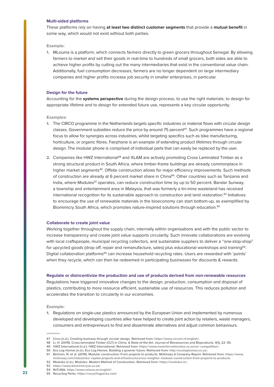#### **Multi-sided platforms**

These platforms rely on having **at least two distinct customer segments** that provide a **mutual benefit** in some way, which would not exist without both parties.

**Example:** 

1. MLouma is a platform, which connects farmers directly to green grocers throughout Senegal. By allowing farmers to market and sell their goods in real-time to hundreds of small grocers, both sides are able to achieve higher profits by cutting out the many intermediaries that exist in the conventional value chain. Additionally, fuel consumption decreases, farmers are no longer dependent on large intermediary companies and higher profits increase job security in smaller enterprises, in particular.

#### **Design for the future**

Accounting for the **systems perspective** during the design process, to use the right materials, to design for appropriate lifetime and to design for extended future use, represents a key circular opportunity.

**Examples:** 

- 1. The CIRCO programme in the Netherlands targets specific industries or material flows with circular design classes. Government subsidies reduce the price by around 75 percent**<sup>47</sup>**. Such programmes have a regional focus to allow for synergies across industries, whilst targeting specifics such as bike manufacturing, horticulture, or organic fibres. Fairphone is an example of extending product lifetimes through circular design. The modular phone is comprised of individual parts that can easily be replaced by the user.
- 2. Companies like HWZ International**<sup>48</sup>** and XLAM are actively promoting Cross Laminated Timber as a strong structural product in South Africa, where timber-frame buildings are already commonplace in higher market segments**<sup>49</sup>**. Offsite construction allows for major efficiency improvements. Such methods of construction are already at 6 percent market share in China**<sup>50</sup>**. Other countries such as Tanzania and India, where Modulex**<sup>51</sup>** operates, can reduce construction time by up to 50 percent. Bandar Sunway, a township and entertainment area in Malaysia, that was formerly a tin-mine wasteland has received international recognition for its sustainable approach to construction and land restoration.**<sup>52</sup>** Initiatives to encourage the use of renewable materials in the bioeconomy can start bottom-up, as exemplified by Biomimicry South Africa, which promotes nature-inspired solutions through education.**<sup>53</sup>**

#### **Collaborate to create joint value**

Working together throughout the supply chain, internally within organisations and with the public sector to increase transparency and create joint value supports circularity. Such innovate collaborations are evolving with local craftspeople, municipal recycling collectors, and sustainable suppliers to deliver a "one-stop-shop" for upcycled goods (drop off, repair and remanufacture, sales) plus educational workshops and training**<sup>54</sup>**. Digital collaboration platforms**<sup>55</sup>** can increase household recycling rates. Users are rewarded with 'points' when they recycle, which can then be redeemed in participating businesses for discounts & rewards.

**Regulate or disincentivize the production and use of products derived from non-renewable resources** Regulations have triggered innovative changes to the design, production, consumption and disposal of plastics, contributing to more resource efficient, sustainable use of resources. This reduces pollution and accelerates the transition to circularity in our economies.

#### **Example:**

1. Regulations on single-use plastics announced by the European Union and implemented by numerous developed and developing countries alike have helped to create joint action by retailers, waste managers, consumers and entrepreneurs to find and disseminate alternatives and adjust common behaviours.

**<sup>47</sup> Circo (n.d.). Creating business through circular design. Retrieved from: <https://www.circonl.nl/english/>.**

**<sup>48</sup> Li, H. (2019). Cross-laminated Timber (CLT) in China: A State-of-the-Art. Journal of Bioresources and Bioproducts, 4(1), 22−30.**

**<sup>49</sup> HWZ International (n.d.). HWZ International. Retrieved from: [https://www.hwzinternationalsa.co.za/en/ competition/](https://www.hwzinternationalsa.co.za/en/).**

**<sup>50</sup> Eco Log Homes (n.d.). Eco Log Homes. Building a greener future. Retrieved from: <http://ecologhomes.co.za/>.**

**<sup>51</sup> Bertram, N. et al. (2019). Modular construction: From projects to products. McKinsey & Company Report. Retrieved from: [https://www.](https://www.mckinsey.com/industries/%20capital-projects-and-infrastructure/our-insights/%20modular-construction-from-projects-to-products#) [mckinsey.com/industries/ capital-projects-and-infrastructure/our-insights/ modular-construction-from-projects-to-products.](https://www.mckinsey.com/industries/%20capital-projects-and-infrastructure/our-insights/%20modular-construction-from-projects-to-products#)**

**<sup>52</sup> Modulex (n.d.). Modulex. Modern Method of Construction. Retrieved from: <https://modulex.in/>.**

**<sup>53</sup> <https://www.biomimicrysa.co.za/>**

**<sup>54</sup> ReTUNA: <https://www.retuna.se/english/>**

**<sup>55</sup> Recycling Perks: <https://recyclingperks.com/>**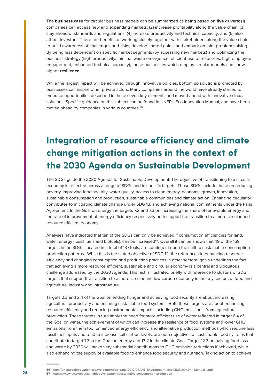<span id="page-23-0"></span>The **business case** for circular business models can be summarized as being based on **five drivers**: (1) companies can access new and expanding markets; (2) increase profitability along the value chain; (3) stay ahead of standards and regulations; (4) increase productivity and technical capacity; and (5) also attract investors. There are benefits of working closely together with stakeholders along the value chain; to build awareness of challenges and risks, develop shared gains, and embark on joint problem solving. By being less dependent on specific market segments (by accessing new markets) and optimizing the business strategy (high productivity, minimal waste emergence, efficient use of resources, high employee engagement, enhanced technical capacity), those businesses which employ circular models can show higher **resilience**.

While the largest impact will be achieved through innovative policies, bottom up solutions promoted by businesses can inspire other private actors. Many companies around the world have already started to embrace opportunities described in these seven key elements and moved ahead with innovative circular solutions. Specific guidance on this subject can be found in UNEP's Eco-innovation Manual, and have been moved ahead by companies in various countries.**<sup>56</sup>**

# **Integration of resource efficiency and climate change mitigation actions in the context of the 2030 Agenda on Sustainable Development**

The SDGs guide the 2030 Agenda for Sustainable Development. The objective of transitioning to a circular economy is reflected across a range of SDGs and in specific targets. Those SDGs include those on reducing poverty, improving food security, water quality, access to clean energy, economic growth, innovation, sustainable consumption and production, sustainable communities and climate action. Enhancing circularity contributes to mitigating climate change under SDG 13, and achieving national commitments under the Paris Agreement. In the Goal on energy the targets 7.2 and 7.3 on increasing the share of renewable energy and the rate of improvement of energy efficiency respectively both support the transition to a more circular and resource efficient economy.

Analyses have indicated that ten of the SDGs can only be achieved if consumption efficiencies for land, water, energy (fossil fuels and biofuels), can be increased**<sup>57</sup>**. Overall it can be shown that 49 of the 169 targets in the SDGs, located in a total of 13 Goals, are contingent upon the shift to sustainable consumption production patterns. While this is the stated objective of SDG 12, the references to enhancing resource efficiency and changing consumption and production practices in other sectoral goals underlines the fact that achieving a more resource efficient, sustainable and circular economy is a central and ubiquitous challenge addressed by the 2030 Agenda. This fact is illustrated briefly with reference to clusters of SDG targets that support the transition to a more circular and low carbon economy in the key sectors of food and agriculture, industry and infrastructure.

Targets 2.3 and 2.4 of the Goal on ending hunger and achieving food security are about increasing agricultural productivity and ensuring sustainable food systems. Both these targets are about enhancing resource efficiency and reducing environmental impacts, including GHG emissions, from agricultural production. Those targets in turn imply the need for more efficient use of water reflected in target 6.4 of the Goal on water, the achievement of which can increase the resilience of food systems and lower GHG emissions from them too. Enhanced energy efficiency, and alternative production methods which require less fossil fuel inputs and tend to increase soil carbon levels, are both objectives of sustainable food systems that contribute to target 7.3 in the Goal on energy and 13.2 in the climate Goal. Target 12.3 on halving food loss and waste by 2030 will make very substantial contributions to GHG emission reductions if achieved, while also enhancing the supply of available food to enhance food security and nutrition. Taking action to achieve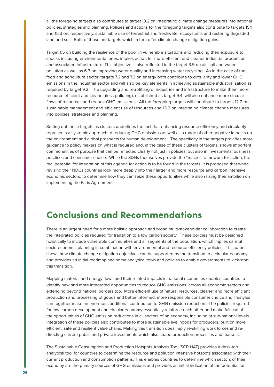<span id="page-24-0"></span>all the foregoing targets also contributes to target 13.2 on integrating climate change measures into national policies, strategies and planning. Policies and actions for the foregoing targets also contribute to targets 15.1 and 15.3 on, respectively, sustainable use of terrestrial and freshwater ecosystems and restoring degraded land and soil. Both of those are targets which in turn offer climate change mitigation gains.

Target 1.5 on building the resilience of the poor in vulnerable situations and reducing their exposure to shocks including environmental ones, implies action for more efficient and cleaner industrial production and associated infrastructure. This objective is also reflected in the target 3.9 on air, soil and water pollution as well as 6.3 on improving water quality and increasing water recycling. As in the case of the food and agriculture sector, targets 7.2 and 7.3 on energy both contribute to circularity and lower GHG emissions in the industrial sector and will also be key elements in achieving sustainable industrialization as required by target 9.2. The upgrading and retrofitting of industries and infrastructure to make them more resource efficient and cleaner (less polluting), established as target 9.4, will also enhance more circular flows of resources and reduce GHG emissions. All the foregoing targets will contribute to targets 12.2 on sustainable management and efficient use of resources and 13.2 on integrating climate change measures into policies, strategies and planning.

Setting out these targets as clusters underlines the fact that enhancing resource efficiency and circularity represents a systemic approach to reducing GHG emissions as well as a range of other negative impacts on the environment and global prospects for human development. The specificity in the targets provides more guidance to policy makers on what is required and, in the case of these clusters of targets, shows important commonalities of purpose that can be reflected clearly not just in policies, but also in investments, business practices and consumer choice. While the SDGs themselves provide the "macro" framework for action, the real potential for integration of this agenda for action is to be found in the targets. It is proposed that when revising their NDCs countries look more deeply into their larger and more resource and carbon intensive economic sectors, to determine how they can seize these opportunities while also raising their ambition on implementing the Paris Agreement.

# **Conclusions and Recommendations**

There is an urgent need for a more holistic approach and broad multi-stakeholder collaboration to create the integrated policies required for transition to a low carbon society. These policies must be designed holistically to include vulnerable communities and all segments of the population, which implies careful socio-economic planning in combination with environmental and resource efficiency policies. This paper shows how climate change mitigation objectives can be supported by the transition to a circular economy and provides an initial roadmap and some analytical tools and policies to enable governments to kick-start this transition.

Mapping material and energy flows and their related impacts in national economies enables countries to identify new and more integrated opportunities to reduce GHG emissions, across all economic sectors and extending beyond national borders too. More efficient use of natural resources, cleaner and more efficient production and processing of goods and better informed, more responsible consumer choice and lifestyles can together make an enormous additional contribution to GHG emission reduction. The policies required for low carbon development and circular economy essentially reinforce each other and make full use of the opportunities of GHG emission reductions in all sectors of an economy, including at sub-national levels. Integration of these policies also contributes to more sustainable livelihoods for producers, built on more efficient, safe and resilient value chains. Making this transition does imply re-skilling work forces and redirecting current public and private investments which also shape production processes and markets.

The Sustainable Consumption and Production Hotspots Analysis Tool (SCP-HAT) provides a desk-top analytical tool for countries to determine the resource and pollution intensive hotspots associated with their current production and consumption patterns. This enables countries to determine which sectors of their economy are the primary sources of GHG emissions and provides an initial indication of the potential for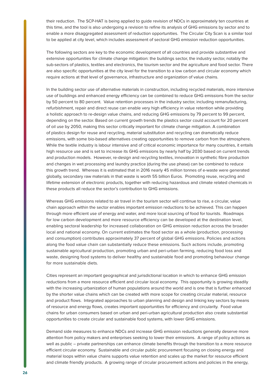their reduction. The SCP-HAT is being applied to guide revision of NDCs in approximately ten countries at this time, and the tool is also undergoing a revision to refine its analysis of GHG emissions by sector and to enable a more disaggregated assessment of reduction opportunities. The Circular City Scan is a similar tool to be applied at city level, which includes assessment of sectoral GHG emission reduction opportunities.

The following sectors are key to the economic development of all countries and provide substantive and extensive opportunities for climate change mitigation: the buildings sector, the industry sector, notably the sub-sectors of plastics, textiles and electronics, the tourism sector and the agriculture and food sector. There are also specific opportunities at the city level for the transition to a low carbon and circular economy which require actions at that level of governance, infrastructure and organization of value chains.

In the building sector use of alternative materials in construction, including recycled materials, more intensive use of buildings and enhanced energy efficiency can be combined to reduce GHG emissions from the sector by 50 percent to 80 percent. Value retention processes in the industry sector, including remanufacturing, refurbishment, repair and direct reuse can enable very high efficiency in value retention while providing a holistic approach to re-design value chains, and reducing GHG emissions by 79 percent to 99 percent, depending on the sector. Based on current growth trends the plastics sector could account for 20 percent of oil use by 2050, making this sector critically important for climate change mitigation. A combination of plastics design for reuse and recycling, material substitution and recycling can dramatically reduce emissions, with some bio-based alternatives creating opportunities to remove carbon from the atmosphere. While the textile industry is labour intensive and of critical economic importance for many countries, it entails high resource use and is set to increase its GHG emissions by nearly half by 2030 based on current trends and production models. However, re-design and recycling textiles, innovation in synthetic fibre production and changes in wet processing and laundry practice (during the use phase) can be combined to reduce this growth trend. Whereas it is estimated that in 2016 nearly 45 million tonnes of e-waste were generated globally, secondary raw materials in that waste is worth 55 billion Euros. Promoting reuse, recycling and lifetime extension of electronic products, together with reducing hazardous and climate related chemicals in these products all reduce the sector's contribution to GHG emissions.

Whereas GHG emissions related to air travel in the tourism sector will continue to rise, a circular, value chain approach within the sector enables important emission reductions to be achieved. This can happen through more efficient use of energy and water, and more local sourcing of food for tourists. Roadmaps for low carbon development and more resource efficiency can be developed at the destination level, enabling sectoral leadership for increased collaboration on GHG emission reduction across the broader local and national economy. On current estimates the food sector as a whole (production, processing and consumption) contributes approximately 37 percent of global GHG emissions. Policies and actions along the food value chain can substantially reduce these emissions. Such actions include, promoting sustainable agricultural production, promoting urban and peri-urban farming, reducing food loss and waste, designing food systems to deliver healthy and sustainable food and promoting behaviour change for more sustainable diets.

Cities represent an important geographical and jurisdictional location in which to enhance GHG emission reductions from a more resource efficient and circular local economy. This opportunity is growing steadily with the increasing urbanization of human populations around the world and is one that is further enhanced by the shorter value chains which can be created with more scope for creating circular material, resource and product flows. Integrated approaches to urban planning and design and linking key sectors by means of resource and energy flows, creates important opportunities for efficiency and circularity. Food value chains for urban consumers based on urban and peri-urban agricultural production also create substantial opportunities to create circular and sustainable food systems, with lower GHG emissions.

Demand side measures to enhance NDCs and increase GHG emission reductions generally deserve more attention from policy makers and enterprises seeking to lower their emissions. A range of policy actions as well as public – private partnerships can enhance climate benefits through the transition to a more resource efficient circular economy. Sustainable and circular public procurement focusing on closing energy and material loops within value chains supports value retention and scales up the market for resource efficient and climate friendly products. A growing range of circular procurement actions and policies in the energy,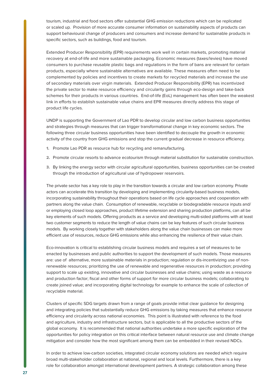tourism, industrial and food sectors offer substantial GHG emission reductions which can be replicated or scaled up. Provision of more accurate consumer information on sustainability aspects of products can support behavioural change of producers and consumers and increase demand for sustainable products in specific sectors, such as buildings, food and tourism.

Extended Producer Responsibility (EPR) requirements work well in certain markets, promoting material recovery at end-of-life and more sustainable packaging. Economic measures (taxes/levies) have moved consumers to purchase reusable plastic bags and regulations in the form of bans are relevant for certain products, especially where sustainable alternatives are available. These measures often need to be complemented by policies and incentives to create markets for recycled materials and increase the use of secondary materials over virgin materials. Extended Producer Responsibility (EPR) has incentivized the private sector to make resource efficiency and circularity gains through eco-design and take-back schemes for their products in various countries. End-of-life (EoL) management has often been the weakest link in efforts to establish sustainable value chains and EPR measures directly address this stage of product life cycles.

UNDP is supporting the Government of Lao PDR to develop circular and low carbon business opportunities and strategies through measures that can trigger transformational change in key economic sectors. The following three circular business opportunities have been identified to decouple the growth in economic activity of the country from GHG emissions and stop the current gradual decrease in resource efficiency.

- 1. Promote Lao PDR as resource hub for recycling and remanufacturing.
- 2. Promote circular resorts to advance ecotourism through material substitution for sustainable construction.
- 3. By linking the energy sector with circular agricultural opportunities, business opportunities can be created through the introduction of agricultural use of hydropower reservoirs.

The private sector has a key role to play in the transition towards a circular and low carbon economy. Private actors can accelerate this transition by developing and implementing circularity-based business models, incorporating sustainability throughout their operations based on life cycle approaches and cooperation with partners along the value chain. Consumption of renewable, recyclable or biodegradable resource inputs and/ or employing closed loop approaches, product lifetime extension and sharing production platforms, can all be key elements of such models. Offering products as a service and developing multi-sided platforms with at least two customer segments to reduce the length of value chains can be key features of such circular business models. By working closely together with stakeholders along the value chain businesses can make more efficient use of resources, reduce GHG emissions while also enhancing the resilience of their value chain.

Eco-innovation is critical to establishing circular business models and requires a set of measures to be enacted by businesses and public authorities to support the development of such models. Those measures are: use of alternative, more sustainable materials in production; regulation or dis-incentivizing use of nonrenewable resources; prioritizing the use of renewable and regenerative resources in production; providing support to scale up existing, innovative and circular businesses and value chains; using waste as a resource and production factor; fiscal and other forms of support for more circular business models; collaborating to create joined value; and incorporating digital technology for example to enhance the scale of collection of recyclable material.

Clusters of specific SDG targets drawn from a range of goals provide initial clear guidance for designing and integrating policies that substantially reduce GHG emissions by taking measures that enhance resource efficiency and circularity across national economies. This point is illustrated with reference to the food and agriculture, industry and infrastructure sectors, but is applicable to all the productive sectors of the global economy. It is recommended that national authorities undertake a more specific exploration of the opportunities for policy integration on this critical interface between natural resource use and climate change mitigation and consider how the most significant among them can be embedded in their revised NDCs.

In order to achieve low-carbon societies, integrated circular economy solutions are needed which require broad multi-stakeholder collaboration at national, regional and local levels. Furthermore, there is a key role for collaboration amongst international development partners. A strategic collaboration among these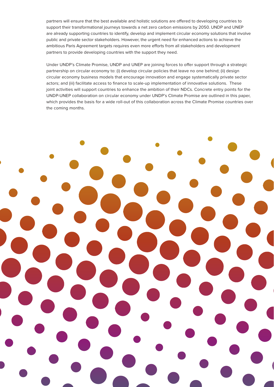partners will ensure that the best available and holistic solutions are offered to developing countries to support their transformational journeys towards a net zero carbon emissions by 2050. UNDP and UNEP are already supporting countries to identify, develop and implement circular economy solutions that involve public and private sector stakeholders. However, the urgent need for enhanced actions to achieve the ambitious Paris Agreement targets requires even more efforts from all stakeholders and development partners to provide developing countries with the support they need.

Under UNDP's Climate Promise, UNDP and UNEP are joining forces to offer support through a strategic partnership on circular economy to: (i) develop circular policies that leave no one behind; (ii) design circular economy business models that encourage innovation and engage systematically private sector actors; and (iii) facilitate access to finance to scale-up implementation of innovative solutions. These joint activities will support countries to enhance the ambition of their NDCs. Concrete entry points for the UNDP-UNEP collaboration on circular economy under UNDP's Climate Promise are outlined in this paper, which provides the basis for a wide roll-out of this collaboration across the Climate Promise countries over the coming months.